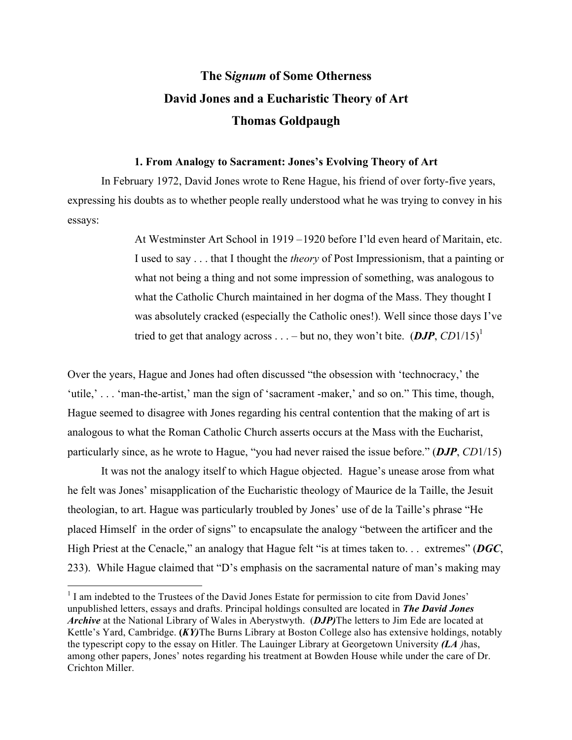## **The S***ignum* **of Some Otherness David Jones and a Eucharistic Theory of Art Thomas Goldpaugh**

## **1. From Analogy to Sacrament: Jones's Evolving Theory of Art**

In February 1972, David Jones wrote to Rene Hague, his friend of over forty-five years, expressing his doubts as to whether people really understood what he was trying to convey in his essays:

> At Westminster Art School in 1919 –1920 before I'ld even heard of Maritain, etc. I used to say . . . that I thought the *theory* of Post Impressionism, that a painting or what not being a thing and not some impression of something, was analogous to what the Catholic Church maintained in her dogma of the Mass. They thought I was absolutely cracked (especially the Catholic ones!). Well since those days I've tried to get that analogy across  $\dots$  – but no, they won't bite.  $(DJP, CD1/15)^1$

Over the years, Hague and Jones had often discussed "the obsession with 'technocracy,' the 'utile,' . . . 'man-the-artist,' man the sign of 'sacrament -maker,' and so on." This time, though, Hague seemed to disagree with Jones regarding his central contention that the making of art is analogous to what the Roman Catholic Church asserts occurs at the Mass with the Eucharist, particularly since, as he wrote to Hague, "you had never raised the issue before." (*DJP*, *CD*1/15)

It was not the analogy itself to which Hague objected. Hague's unease arose from what he felt was Jones' misapplication of the Eucharistic theology of Maurice de la Taille, the Jesuit theologian, to art. Hague was particularly troubled by Jones' use of de la Taille's phrase "He placed Himself in the order of signs" to encapsulate the analogy "between the artificer and the High Priest at the Cenacle," an analogy that Hague felt "is at times taken to. . . extremes" (*DGC*, 233). While Hague claimed that "D's emphasis on the sacramental nature of man's making may

<sup>&</sup>lt;sup>1</sup> I am indebted to the Trustees of the David Jones Estate for permission to cite from David Jones' unpublished letters, essays and drafts. Principal holdings consulted are located in *The David Jones Archive* at the National Library of Wales in Aberystwyth. (*DJP)*The letters to Jim Ede are located at Kettle's Yard, Cambridge. **(***KY)*The Burns Library at Boston College also has extensive holdings, notably the typescript copy to the essay on Hitler. The Lauinger Library at Georgetown University *(LA )*has, among other papers, Jones' notes regarding his treatment at Bowden House while under the care of Dr. Crichton Miller.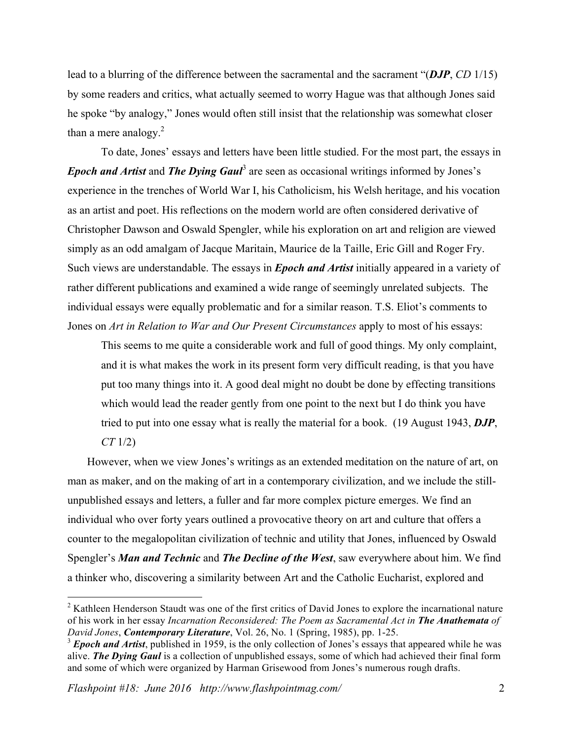lead to a blurring of the difference between the sacramental and the sacrament "(*DJP*, *CD* 1/15) by some readers and critics, what actually seemed to worry Hague was that although Jones said he spoke "by analogy," Jones would often still insist that the relationship was somewhat closer than a mere analogy.<sup>2</sup>

To date, Jones' essays and letters have been little studied. For the most part, the essays in *Epoch and Artist* and *The Dying Gaul*<sup>3</sup> are seen as occasional writings informed by Jones's experience in the trenches of World War I, his Catholicism, his Welsh heritage, and his vocation as an artist and poet. His reflections on the modern world are often considered derivative of Christopher Dawson and Oswald Spengler, while his exploration on art and religion are viewed simply as an odd amalgam of Jacque Maritain, Maurice de la Taille, Eric Gill and Roger Fry. Such views are understandable. The essays in *Epoch and Artist* initially appeared in a variety of rather different publications and examined a wide range of seemingly unrelated subjects. The individual essays were equally problematic and for a similar reason. T.S. Eliot's comments to Jones on *Art in Relation to War and Our Present Circumstances* apply to most of his essays:

This seems to me quite a considerable work and full of good things. My only complaint, and it is what makes the work in its present form very difficult reading, is that you have put too many things into it. A good deal might no doubt be done by effecting transitions which would lead the reader gently from one point to the next but I do think you have tried to put into one essay what is really the material for a book. (19 August 1943, *DJP*, *CT* 1/2)

 However, when we view Jones's writings as an extended meditation on the nature of art, on man as maker, and on the making of art in a contemporary civilization, and we include the stillunpublished essays and letters, a fuller and far more complex picture emerges. We find an individual who over forty years outlined a provocative theory on art and culture that offers a counter to the megalopolitan civilization of technic and utility that Jones, influenced by Oswald Spengler's *Man and Technic* and *The Decline of the West*, saw everywhere about him. We find a thinker who, discovering a similarity between Art and the Catholic Eucharist, explored and

<sup>&</sup>lt;sup>2</sup> Kathleen Henderson Staudt was one of the first critics of David Jones to explore the incarnational nature of his work in her essay *Incarnation Reconsidered: The Poem as Sacramental Act in The Anathemata of David Jones*, *Contemporary Literature*, Vol. 26, No. 1 (Spring, 1985), pp. 1-25.

<sup>&</sup>lt;sup>3</sup> *Epoch and Artist*, published in 1959, is the only collection of Jones's essays that appeared while he was alive. *The Dying Gaul* is a collection of unpublished essays, some of which had achieved their final form and some of which were organized by Harman Grisewood from Jones's numerous rough drafts.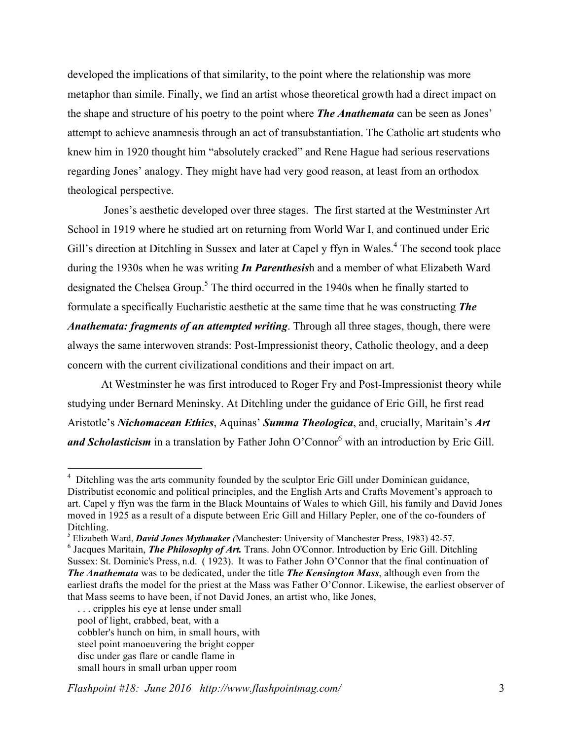developed the implications of that similarity, to the point where the relationship was more metaphor than simile. Finally, we find an artist whose theoretical growth had a direct impact on the shape and structure of his poetry to the point where *The Anathemata* can be seen as Jones' attempt to achieve anamnesis through an act of transubstantiation. The Catholic art students who knew him in 1920 thought him "absolutely cracked" and Rene Hague had serious reservations regarding Jones' analogy. They might have had very good reason, at least from an orthodox theological perspective.

Jones's aesthetic developed over three stages. The first started at the Westminster Art School in 1919 where he studied art on returning from World War I, and continued under Eric Gill's direction at Ditchling in Sussex and later at Capel y ffyn in Wales.<sup>4</sup> The second took place during the 1930s when he was writing *In Parenthesis*h and a member of what Elizabeth Ward designated the Chelsea Group.<sup>5</sup> The third occurred in the 1940s when he finally started to formulate a specifically Eucharistic aesthetic at the same time that he was constructing *The Anathemata: fragments of an attempted writing*. Through all three stages, though, there were always the same interwoven strands: Post-Impressionist theory, Catholic theology, and a deep concern with the current civilizational conditions and their impact on art.

At Westminster he was first introduced to Roger Fry and Post-Impressionist theory while studying under Bernard Meninsky. At Ditchling under the guidance of Eric Gill, he first read Aristotle's *Nichomacean Ethics*, Aquinas' *Summa Theologica*, and, crucially, Maritain's *Art and Scholasticism* in a translation by Father John O'Connor<sup>6</sup> with an introduction by Eric Gill.

<sup>&</sup>lt;sup>4</sup> Ditchling was the arts community founded by the sculptor Eric Gill under Dominican guidance, Distributist economic and political principles, and the English Arts and Crafts Movement's approach to art. Capel y ffyn was the farm in the Black Mountains of Wales to which Gill, his family and David Jones moved in 1925 as a result of a dispute between Eric Gill and Hillary Pepler, one of the co-founders of Ditchling.

<sup>5</sup> Elizabeth Ward, *David Jones Mythmaker (*Manchester: University of Manchester Press, 1983) 42-57.

<sup>&</sup>lt;sup>6</sup> Jacques Maritain, *The Philosophy of Art*. Trans. John O'Connor. Introduction by Eric Gill. Ditchling Sussex: St. Dominic's Press, n.d. ( 1923). It was to Father John O'Connor that the final continuation of *The Anathemata* was to be dedicated, under the title *The Kensington Mass*, although even from the earliest drafts the model for the priest at the Mass was Father O'Connor. Likewise, the earliest observer of that Mass seems to have been, if not David Jones, an artist who, like Jones,

 <sup>. . .</sup> cripples his eye at lense under small pool of light, crabbed, beat, with a cobbler's hunch on him, in small hours, with steel point manoeuvering the bright copper disc under gas flare or candle flame in small hours in small urban upper room

*Flashpoint #18: June 2016 http://www.flashpointmag.com/* 3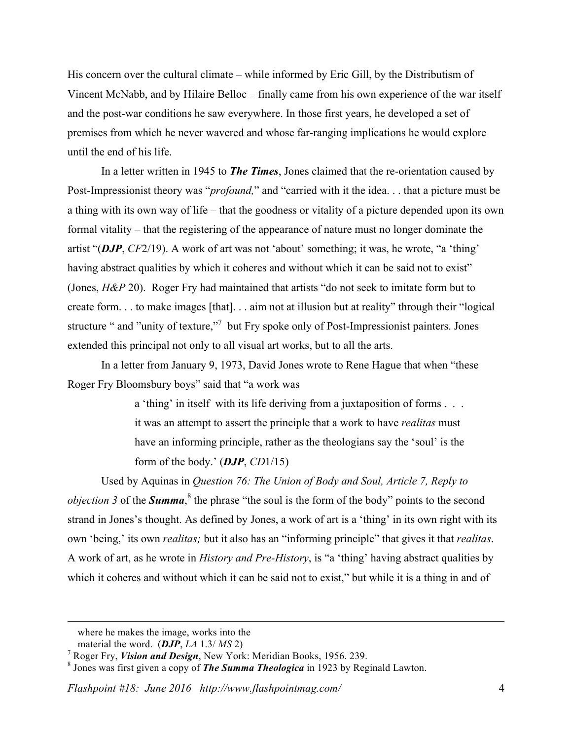His concern over the cultural climate – while informed by Eric Gill, by the Distributism of Vincent McNabb, and by Hilaire Belloc – finally came from his own experience of the war itself and the post-war conditions he saw everywhere. In those first years, he developed a set of premises from which he never wavered and whose far-ranging implications he would explore until the end of his life.

In a letter written in 1945 to *The Times*, Jones claimed that the re-orientation caused by Post-Impressionist theory was "*profound,*" and "carried with it the idea. . . that a picture must be a thing with its own way of life – that the goodness or vitality of a picture depended upon its own formal vitality – that the registering of the appearance of nature must no longer dominate the artist "(*DJP*, *CF*2/19). A work of art was not 'about' something; it was, he wrote, "a 'thing' having abstract qualities by which it coheres and without which it can be said not to exist" (Jones, *H&P* 20). Roger Fry had maintained that artists "do not seek to imitate form but to create form. . . to make images [that]. . . aim not at illusion but at reality" through their "logical structure " and "unity of texture,"<sup>7</sup> but Fry spoke only of Post-Impressionist painters. Jones extended this principal not only to all visual art works, but to all the arts.

In a letter from January 9, 1973, David Jones wrote to Rene Hague that when "these Roger Fry Bloomsbury boys" said that "a work was

> a 'thing' in itself with its life deriving from a juxtaposition of forms . . . it was an attempt to assert the principle that a work to have *realitas* must have an informing principle, rather as the theologians say the 'soul' is the form of the body.' (*DJP*, *CD*1/15)

Used by Aquinas in *Question 76: The Union of Body and Soul, Article 7, Reply to objection* 3 of the **Summa**,<sup>8</sup> the phrase "the soul is the form of the body" points to the second strand in Jones's thought. As defined by Jones, a work of art is a 'thing' in its own right with its own 'being,' its own *realitas;* but it also has an "informing principle" that gives it that *realitas*. A work of art, as he wrote in *History and Pre-History*, is "a 'thing' having abstract qualities by which it coheres and without which it can be said not to exist," but while it is a thing in and of

1

where he makes the image, works into the

material the word. (*DJP*, *LA* 1.3/ *MS* 2)

<sup>7</sup> Roger Fry, *Vision and Design*, New York: Meridian Books, 1956. 239.

<sup>8</sup> Jones was first given a copy of *The Summa Theologica* in 1923 by Reginald Lawton.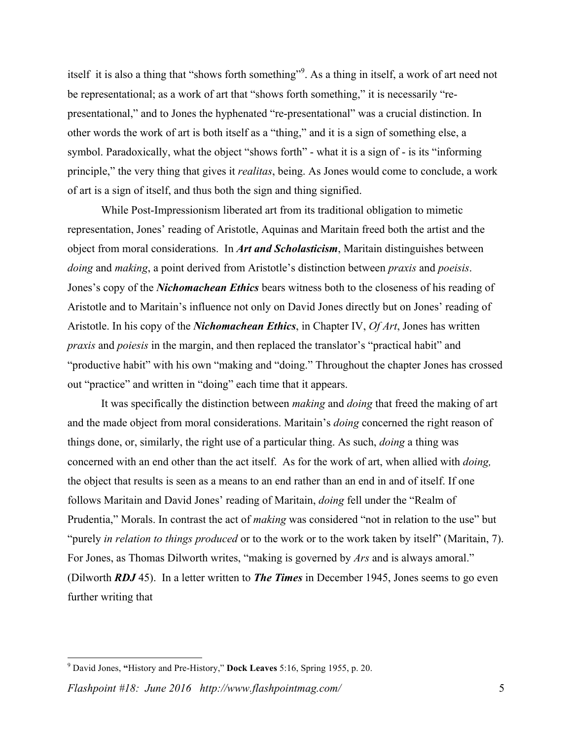itself it is also a thing that "shows forth something". As a thing in itself, a work of art need not be representational; as a work of art that "shows forth something," it is necessarily "representational," and to Jones the hyphenated "re-presentational" was a crucial distinction. In other words the work of art is both itself as a "thing," and it is a sign of something else, a symbol. Paradoxically, what the object "shows forth" - what it is a sign of - is its "informing principle," the very thing that gives it *realitas*, being. As Jones would come to conclude, a work of art is a sign of itself, and thus both the sign and thing signified.

While Post-Impressionism liberated art from its traditional obligation to mimetic representation, Jones' reading of Aristotle, Aquinas and Maritain freed both the artist and the object from moral considerations. In *Art and Scholasticism*, Maritain distinguishes between *doing* and *making*, a point derived from Aristotle's distinction between *praxis* and *poeisis*. Jones's copy of the *Nichomachean Ethics* bears witness both to the closeness of his reading of Aristotle and to Maritain's influence not only on David Jones directly but on Jones' reading of Aristotle. In his copy of the *Nichomachean Ethics*, in Chapter IV, *Of Art*, Jones has written *praxis* and *poiesis* in the margin, and then replaced the translator's "practical habit" and "productive habit" with his own "making and "doing." Throughout the chapter Jones has crossed out "practice" and written in "doing" each time that it appears.

It was specifically the distinction between *making* and *doing* that freed the making of art and the made object from moral considerations. Maritain's *doing* concerned the right reason of things done, or, similarly, the right use of a particular thing. As such, *doing* a thing was concerned with an end other than the act itself. As for the work of art, when allied with *doing,* the object that results is seen as a means to an end rather than an end in and of itself. If one follows Maritain and David Jones' reading of Maritain, *doing* fell under the "Realm of Prudentia," Morals. In contrast the act of *making* was considered "not in relation to the use" but "purely *in relation to things produced* or to the work or to the work taken by itself" (Maritain, 7). For Jones, as Thomas Dilworth writes, "making is governed by *Ars* and is always amoral." (Dilworth *RDJ* 45). In a letter written to *The Times* in December 1945, Jones seems to go even further writing that

 <sup>9</sup> David Jones, **"**History and Pre-History," **Dock Leaves** 5:16, Spring 1955, p. 20.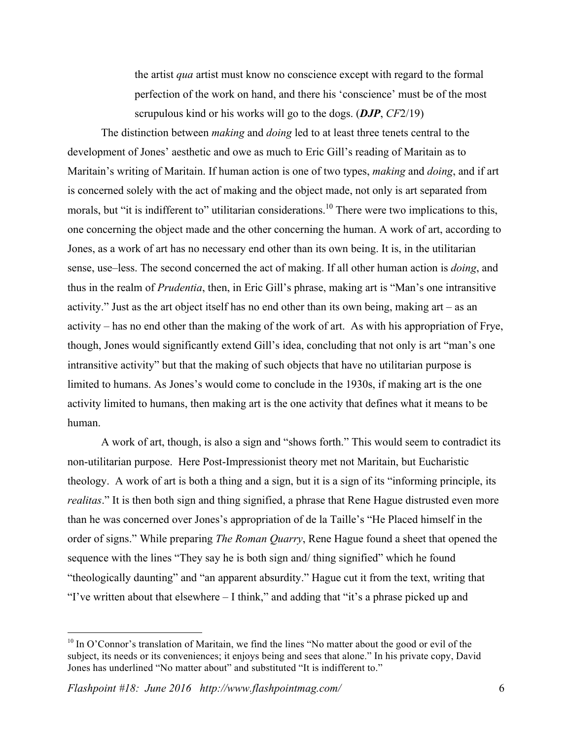the artist *qua* artist must know no conscience except with regard to the formal perfection of the work on hand, and there his 'conscience' must be of the most scrupulous kind or his works will go to the dogs. (*DJP*, *CF*2/19)

The distinction between *making* and *doing* led to at least three tenets central to the development of Jones' aesthetic and owe as much to Eric Gill's reading of Maritain as to Maritain's writing of Maritain. If human action is one of two types, *making* and *doing*, and if art is concerned solely with the act of making and the object made, not only is art separated from morals, but "it is indifferent to" utilitarian considerations.<sup>10</sup> There were two implications to this, one concerning the object made and the other concerning the human. A work of art, according to Jones, as a work of art has no necessary end other than its own being. It is, in the utilitarian sense, use–less. The second concerned the act of making. If all other human action is *doing*, and thus in the realm of *Prudentia*, then, in Eric Gill's phrase, making art is "Man's one intransitive activity." Just as the art object itself has no end other than its own being, making art – as an activity – has no end other than the making of the work of art. As with his appropriation of Frye, though, Jones would significantly extend Gill's idea, concluding that not only is art "man's one intransitive activity" but that the making of such objects that have no utilitarian purpose is limited to humans. As Jones's would come to conclude in the 1930s, if making art is the one activity limited to humans, then making art is the one activity that defines what it means to be human.

A work of art, though, is also a sign and "shows forth." This would seem to contradict its non-utilitarian purpose. Here Post-Impressionist theory met not Maritain, but Eucharistic theology. A work of art is both a thing and a sign, but it is a sign of its "informing principle, its *realitas*." It is then both sign and thing signified, a phrase that Rene Hague distrusted even more than he was concerned over Jones's appropriation of de la Taille's "He Placed himself in the order of signs." While preparing *The Roman Quarry*, Rene Hague found a sheet that opened the sequence with the lines "They say he is both sign and/ thing signified" which he found "theologically daunting" and "an apparent absurdity." Hague cut it from the text, writing that "I've written about that elsewhere – I think," and adding that "it's a phrase picked up and

<sup>&</sup>lt;sup>10</sup> In O'Connor's translation of Maritain, we find the lines "No matter about the good or evil of the subject, its needs or its conveniences; it enjoys being and sees that alone." In his private copy, David Jones has underlined "No matter about" and substituted "It is indifferent to."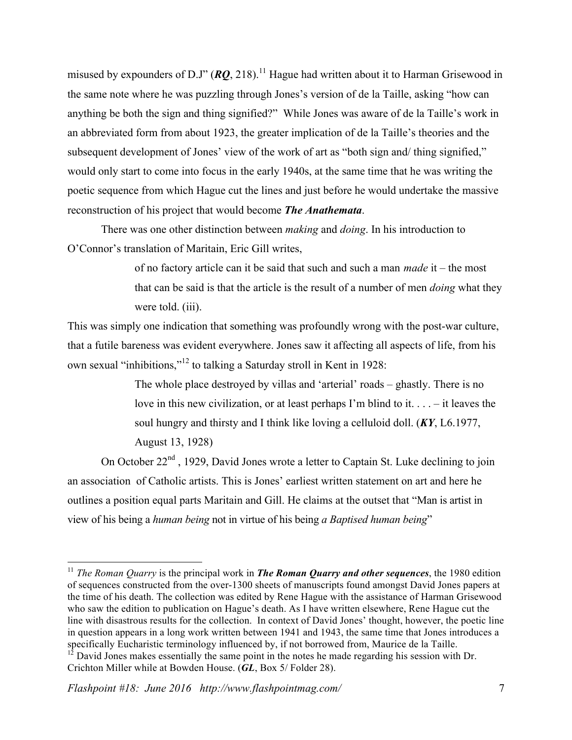misused by expounders of D.J"  $(RO, 218)$ .<sup>11</sup> Hague had written about it to Harman Grisewood in the same note where he was puzzling through Jones's version of de la Taille, asking "how can anything be both the sign and thing signified?" While Jones was aware of de la Taille's work in an abbreviated form from about 1923, the greater implication of de la Taille's theories and the subsequent development of Jones' view of the work of art as "both sign and/ thing signified," would only start to come into focus in the early 1940s, at the same time that he was writing the poetic sequence from which Hague cut the lines and just before he would undertake the massive reconstruction of his project that would become *The Anathemata*.

There was one other distinction between *making* and *doing*. In his introduction to O'Connor's translation of Maritain, Eric Gill writes,

> of no factory article can it be said that such and such a man *made* it – the most that can be said is that the article is the result of a number of men *doing* what they were told. *(iii)*.

This was simply one indication that something was profoundly wrong with the post-war culture, that a futile bareness was evident everywhere. Jones saw it affecting all aspects of life, from his own sexual "inhibitions,"<sup>12</sup> to talking a Saturday stroll in Kent in 1928:

> The whole place destroyed by villas and 'arterial' roads – ghastly. There is no love in this new civilization, or at least perhaps I'm blind to it. . . . – it leaves the soul hungry and thirsty and I think like loving a celluloid doll. (*KY*, L6.1977, August 13, 1928)

On October 22<sup>nd</sup>, 1929, David Jones wrote a letter to Captain St. Luke declining to join an association of Catholic artists. This is Jones' earliest written statement on art and here he outlines a position equal parts Maritain and Gill. He claims at the outset that "Man is artist in view of his being a *human being* not in virtue of his being *a Baptised human being*"

 <sup>11</sup> *The Roman Quarry* is the principal work in *The Roman Quarry and other sequences*, the 1980 edition of sequences constructed from the over-1300 sheets of manuscripts found amongst David Jones papers at the time of his death. The collection was edited by Rene Hague with the assistance of Harman Grisewood who saw the edition to publication on Hague's death. As I have written elsewhere, Rene Hague cut the line with disastrous results for the collection. In context of David Jones' thought, however, the poetic line in question appears in a long work written between 1941 and 1943, the same time that Jones introduces a specifically Eucharistic terminology influenced by, if not borrowed from, Maurice de la Taille.

 $12$  David Jones makes essentially the same point in the notes he made regarding his session with Dr. Crichton Miller while at Bowden House. (*GL*, Box 5/ Folder 28).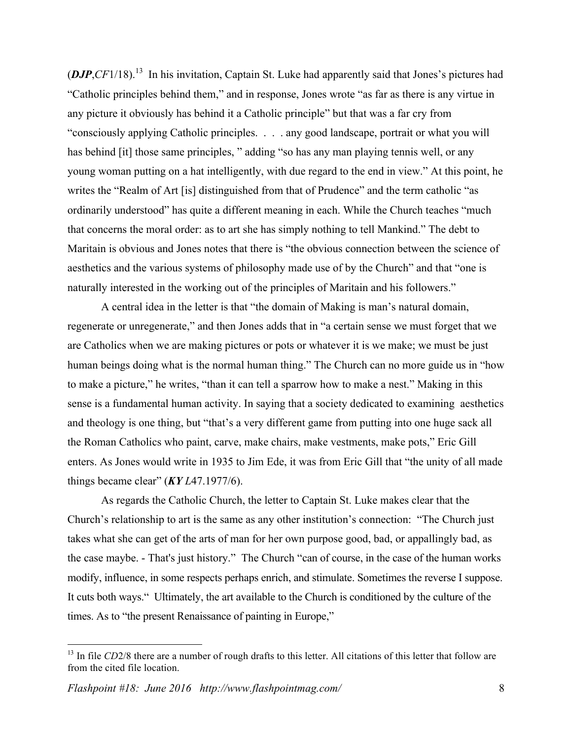$(DJP, CF1/18).$ <sup>13</sup> In his invitation, Captain St. Luke had apparently said that Jones's pictures had "Catholic principles behind them," and in response, Jones wrote "as far as there is any virtue in any picture it obviously has behind it a Catholic principle" but that was a far cry from "consciously applying Catholic principles. . . . any good landscape, portrait or what you will has behind [it] those same principles, " adding "so has any man playing tennis well, or any young woman putting on a hat intelligently, with due regard to the end in view." At this point, he writes the "Realm of Art [is] distinguished from that of Prudence" and the term catholic "as ordinarily understood" has quite a different meaning in each. While the Church teaches "much that concerns the moral order: as to art she has simply nothing to tell Mankind." The debt to Maritain is obvious and Jones notes that there is "the obvious connection between the science of aesthetics and the various systems of philosophy made use of by the Church" and that "one is naturally interested in the working out of the principles of Maritain and his followers."

A central idea in the letter is that "the domain of Making is man's natural domain, regenerate or unregenerate," and then Jones adds that in "a certain sense we must forget that we are Catholics when we are making pictures or pots or whatever it is we make; we must be just human beings doing what is the normal human thing." The Church can no more guide us in "how to make a picture," he writes, "than it can tell a sparrow how to make a nest." Making in this sense is a fundamental human activity. In saying that a society dedicated to examining aesthetics and theology is one thing, but "that's a very different game from putting into one huge sack all the Roman Catholics who paint, carve, make chairs, make vestments, make pots," Eric Gill enters. As Jones would write in 1935 to Jim Ede, it was from Eric Gill that "the unity of all made things became clear" (*KY L*47.1977/6).

As regards the Catholic Church, the letter to Captain St. Luke makes clear that the Church's relationship to art is the same as any other institution's connection: "The Church just takes what she can get of the arts of man for her own purpose good, bad, or appallingly bad, as the case maybe. - That's just history." The Church "can of course, in the case of the human works modify, influence, in some respects perhaps enrich, and stimulate. Sometimes the reverse I suppose. It cuts both ways." Ultimately, the art available to the Church is conditioned by the culture of the times. As to "the present Renaissance of painting in Europe,"

<sup>&</sup>lt;sup>13</sup> In file *CD*2/8 there are a number of rough drafts to this letter. All citations of this letter that follow are from the cited file location.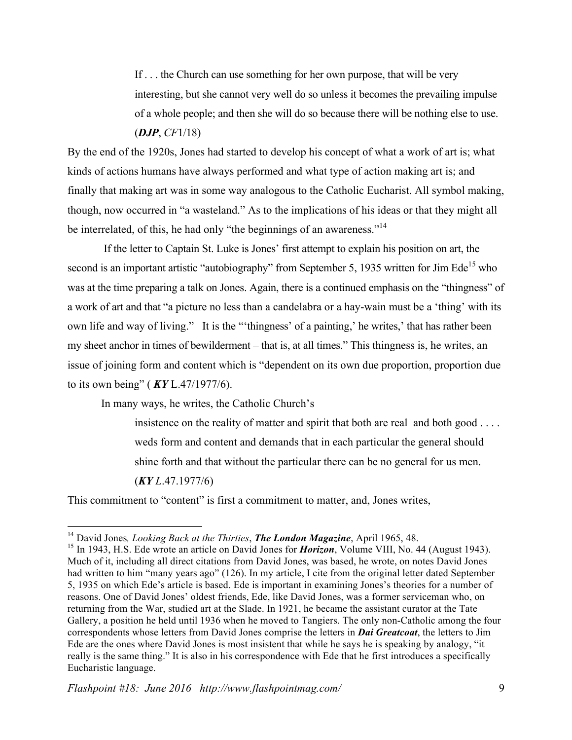If . . . the Church can use something for her own purpose, that will be very interesting, but she cannot very well do so unless it becomes the prevailing impulse of a whole people; and then she will do so because there will be nothing else to use. (*DJP*, *CF*1/18)

By the end of the 1920s, Jones had started to develop his concept of what a work of art is; what kinds of actions humans have always performed and what type of action making art is; and finally that making art was in some way analogous to the Catholic Eucharist. All symbol making, though, now occurred in "a wasteland." As to the implications of his ideas or that they might all be interrelated, of this, he had only "the beginnings of an awareness."14

If the letter to Captain St. Luke is Jones' first attempt to explain his position on art, the second is an important artistic "autobiography" from September 5, 1935 written for Jim Ede<sup>15</sup> who was at the time preparing a talk on Jones. Again, there is a continued emphasis on the "thingness" of a work of art and that "a picture no less than a candelabra or a hay-wain must be a 'thing' with its own life and way of living." It is the "'thingness' of a painting,' he writes,' that has rather been my sheet anchor in times of bewilderment – that is, at all times." This thingness is, he writes, an issue of joining form and content which is "dependent on its own due proportion, proportion due to its own being" ( *KY* L.47/1977/6).

In many ways, he writes, the Catholic Church's

insistence on the reality of matter and spirit that both are real and both good . . . . weds form and content and demands that in each particular the general should shine forth and that without the particular there can be no general for us men. (*KY L*.47.1977/6)

This commitment to "content" is first a commitment to matter, and, Jones writes,

 <sup>14</sup> David Jones*, Looking Back at the Thirties*, *The London Magazine*, April 1965, 48.

<sup>&</sup>lt;sup>15</sup> In 1943, H.S. Ede wrote an article on David Jones for *Horizon*, Volume VIII, No. 44 (August 1943). Much of it, including all direct citations from David Jones, was based, he wrote, on notes David Jones had written to him "many years ago" (126). In my article, I cite from the original letter dated September 5, 1935 on which Ede's article is based. Ede is important in examining Jones's theories for a number of reasons. One of David Jones' oldest friends, Ede, like David Jones, was a former serviceman who, on returning from the War, studied art at the Slade. In 1921, he became the assistant curator at the Tate Gallery, a position he held until 1936 when he moved to Tangiers. The only non-Catholic among the four correspondents whose letters from David Jones comprise the letters in *Dai Greatcoat*, the letters to Jim Ede are the ones where David Jones is most insistent that while he says he is speaking by analogy, "it really is the same thing." It is also in his correspondence with Ede that he first introduces a specifically Eucharistic language.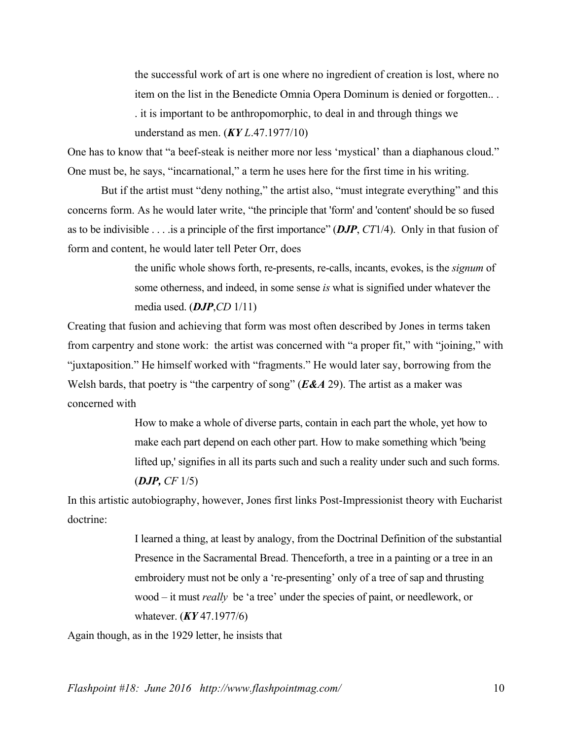the successful work of art is one where no ingredient of creation is lost, where no item on the list in the Benedicte Omnia Opera Dominum is denied or forgotten.. . . it is important to be anthropomorphic, to deal in and through things we understand as men. (*KY L*.47.1977/10)

One has to know that "a beef-steak is neither more nor less 'mystical' than a diaphanous cloud." One must be, he says, "incarnational," a term he uses here for the first time in his writing.

But if the artist must "deny nothing," the artist also, "must integrate everything" and this concerns form. As he would later write, "the principle that 'form' and 'content' should be so fused as to be indivisible . . . .is a principle of the first importance" (*DJP*, *CT*1/4). Only in that fusion of form and content, he would later tell Peter Orr, does

> the unific whole shows forth, re-presents, re-calls, incants, evokes, is the *signum* of some otherness, and indeed, in some sense *is* what is signified under whatever the media used. (*DJP*,*CD* 1/11)

Creating that fusion and achieving that form was most often described by Jones in terms taken from carpentry and stone work: the artist was concerned with "a proper fit," with "joining," with "juxtaposition." He himself worked with "fragments." He would later say, borrowing from the Welsh bards, that poetry is "the carpentry of song" (*E&A* 29). The artist as a maker was concerned with

> How to make a whole of diverse parts, contain in each part the whole, yet how to make each part depend on each other part. How to make something which 'being lifted up,' signifies in all its parts such and such a reality under such and such forms. (*DJP, CF* 1/5)

In this artistic autobiography, however, Jones first links Post-Impressionist theory with Eucharist doctrine:

> I learned a thing, at least by analogy, from the Doctrinal Definition of the substantial Presence in the Sacramental Bread. Thenceforth, a tree in a painting or a tree in an embroidery must not be only a 're-presenting' only of a tree of sap and thrusting wood – it must *really* be 'a tree' under the species of paint, or needlework, or whatever. (*KY* 47.1977/6)

Again though, as in the 1929 letter, he insists that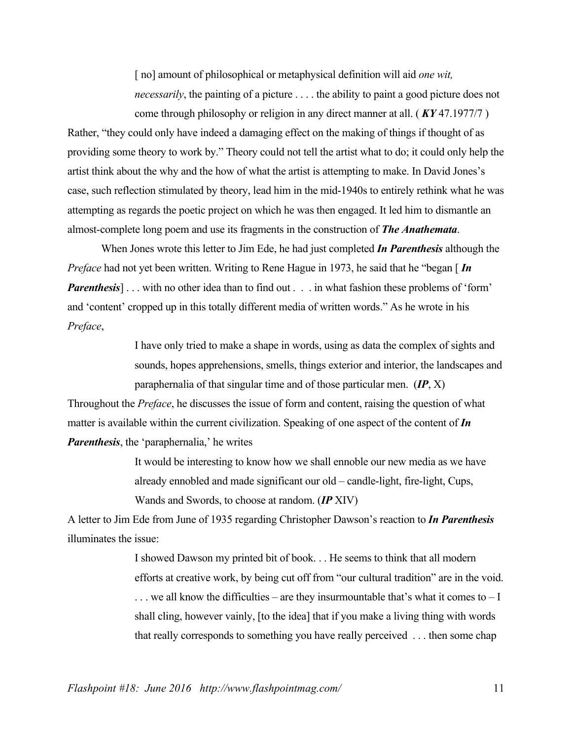[no] amount of philosophical or metaphysical definition will aid *one wit*, *necessarily*, the painting of a picture ... . the ability to paint a good picture does not come through philosophy or religion in any direct manner at all. ( *KY* 47.1977/7 )

Rather, "they could only have indeed a damaging effect on the making of things if thought of as providing some theory to work by." Theory could not tell the artist what to do; it could only help the artist think about the why and the how of what the artist is attempting to make. In David Jones's case, such reflection stimulated by theory, lead him in the mid-1940s to entirely rethink what he was attempting as regards the poetic project on which he was then engaged. It led him to dismantle an almost-complete long poem and use its fragments in the construction of *The Anathemata*.

When Jones wrote this letter to Jim Ede, he had just completed *In Parenthesis* although the *Preface* had not yet been written. Writing to Rene Hague in 1973, he said that he "began [*In Parenthesis* . . . with no other idea than to find out . . . in what fashion these problems of 'form' and 'content' cropped up in this totally different media of written words." As he wrote in his *Preface*,

> I have only tried to make a shape in words, using as data the complex of sights and sounds, hopes apprehensions, smells, things exterior and interior, the landscapes and paraphernalia of that singular time and of those particular men. (*IP*, X)

Throughout the *Preface*, he discusses the issue of form and content, raising the question of what matter is available within the current civilization. Speaking of one aspect of the content of *In Parenthesis*, the 'paraphernalia,' he writes

> It would be interesting to know how we shall ennoble our new media as we have already ennobled and made significant our old – candle-light, fire-light, Cups, Wands and Swords, to choose at random. (*IP* XIV)

A letter to Jim Ede from June of 1935 regarding Christopher Dawson's reaction to *In Parenthesis* illuminates the issue:

> I showed Dawson my printed bit of book. . . He seems to think that all modern efforts at creative work, by being cut off from "our cultural tradition" are in the void.  $\ldots$  we all know the difficulties – are they insurmountable that's what it comes to – I shall cling, however vainly, [to the idea] that if you make a living thing with words that really corresponds to something you have really perceived . . . then some chap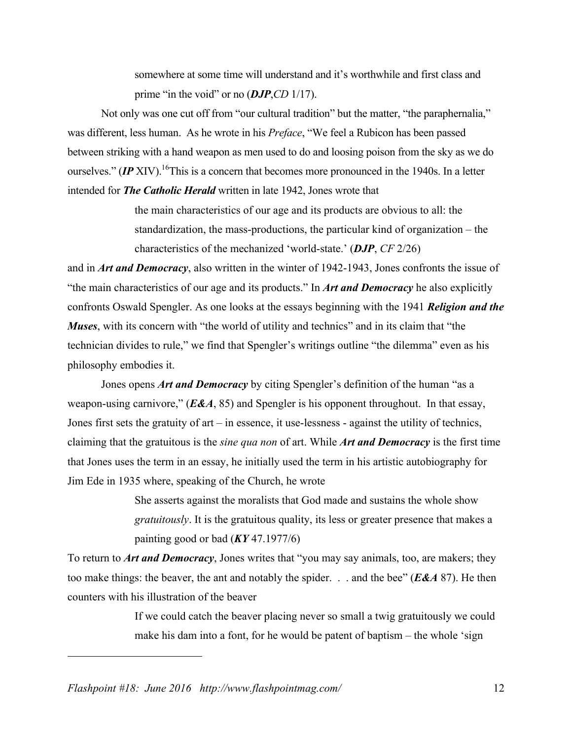somewhere at some time will understand and it's worthwhile and first class and prime "in the void" or no (*DJP*,*CD* 1/17).

Not only was one cut off from "our cultural tradition" but the matter, "the paraphernalia," was different, less human. As he wrote in his *Preface*, "We feel a Rubicon has been passed between striking with a hand weapon as men used to do and loosing poison from the sky as we do ourselves." *(IP* XIV). <sup>16</sup>This is a concern that becomes more pronounced in the 1940s. In a letter intended for *The Catholic Herald* written in late 1942, Jones wrote that

> the main characteristics of our age and its products are obvious to all: the standardization, the mass-productions, the particular kind of organization – the characteristics of the mechanized 'world-state.' (*DJP*, *CF* 2/26)

and in *Art and Democracy*, also written in the winter of 1942-1943, Jones confronts the issue of "the main characteristics of our age and its products." In *Art and Democracy* he also explicitly confronts Oswald Spengler. As one looks at the essays beginning with the 1941 *Religion and the Muses*, with its concern with "the world of utility and technics" and in its claim that "the technician divides to rule," we find that Spengler's writings outline "the dilemma" even as his philosophy embodies it.

Jones opens *Art and Democracy* by citing Spengler's definition of the human "as a weapon-using carnivore," (*E&A*, 85) and Spengler is his opponent throughout. In that essay, Jones first sets the gratuity of art – in essence, it use-lessness - against the utility of technics, claiming that the gratuitous is the *sine qua non* of art. While *Art and Democracy* is the first time that Jones uses the term in an essay, he initially used the term in his artistic autobiography for Jim Ede in 1935 where, speaking of the Church, he wrote

> She asserts against the moralists that God made and sustains the whole show *gratuitously*. It is the gratuitous quality, its less or greater presence that makes a painting good or bad (*KY* 47.1977/6)

To return to *Art and Democracy*, Jones writes that "you may say animals, too, are makers; they too make things: the beaver, the ant and notably the spider. . . and the bee" (*E&A* 87). He then counters with his illustration of the beaver

> If we could catch the beaver placing never so small a twig gratuitously we could make his dam into a font, for he would be patent of baptism – the whole 'sign

*Flashpoint #18: June 2016 http://www.flashpointmag.com/* 12

1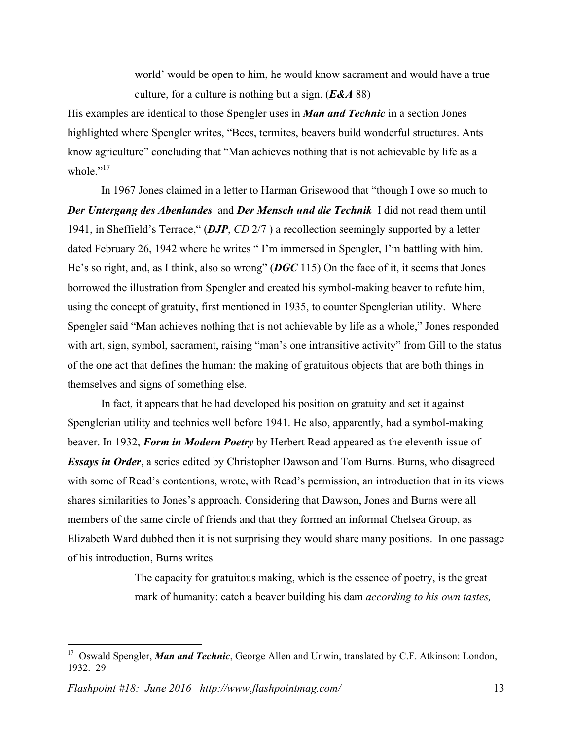world' would be open to him, he would know sacrament and would have a true culture, for a culture is nothing but a sign. (*E&A* 88)

His examples are identical to those Spengler uses in *Man and Technic* in a section Jones highlighted where Spengler writes, "Bees, termites, beavers build wonderful structures. Ants know agriculture" concluding that "Man achieves nothing that is not achievable by life as a whole."<sup>17</sup>

In 1967 Jones claimed in a letter to Harman Grisewood that "though I owe so much to *Der Untergang des Abenlandes* and *Der Mensch und die Technik* I did not read them until 1941, in Sheffield's Terrace," (*DJP*, *CD* 2/7 ) a recollection seemingly supported by a letter dated February 26, 1942 where he writes " I'm immersed in Spengler, I'm battling with him. He's so right, and, as I think, also so wrong" (*DGC* 115) On the face of it, it seems that Jones borrowed the illustration from Spengler and created his symbol-making beaver to refute him, using the concept of gratuity, first mentioned in 1935, to counter Spenglerian utility. Where Spengler said "Man achieves nothing that is not achievable by life as a whole," Jones responded with art, sign, symbol, sacrament, raising "man's one intransitive activity" from Gill to the status of the one act that defines the human: the making of gratuitous objects that are both things in themselves and signs of something else.

In fact, it appears that he had developed his position on gratuity and set it against Spenglerian utility and technics well before 1941. He also, apparently, had a symbol-making beaver. In 1932, *Form in Modern Poetry* by Herbert Read appeared as the eleventh issue of *Essays in Order*, a series edited by Christopher Dawson and Tom Burns. Burns, who disagreed with some of Read's contentions, wrote, with Read's permission, an introduction that in its views shares similarities to Jones's approach. Considering that Dawson, Jones and Burns were all members of the same circle of friends and that they formed an informal Chelsea Group, as Elizabeth Ward dubbed then it is not surprising they would share many positions. In one passage of his introduction, Burns writes

> The capacity for gratuitous making, which is the essence of poetry, is the great mark of humanity: catch a beaver building his dam *according to his own tastes,*

 <sup>17</sup> Oswald Spengler, *Man and Technic*, George Allen and Unwin, translated by C.F. Atkinson: London, 1932. 29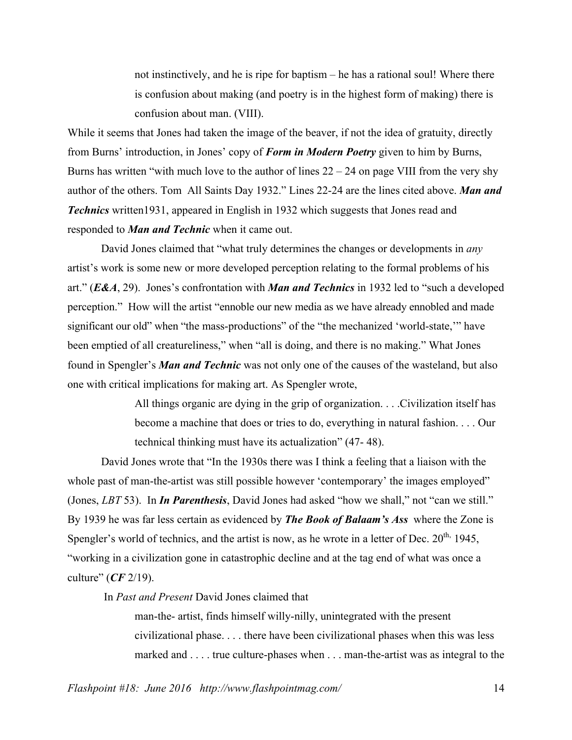not instinctively, and he is ripe for baptism – he has a rational soul! Where there is confusion about making (and poetry is in the highest form of making) there is confusion about man. (VIII).

While it seems that Jones had taken the image of the beaver, if not the idea of gratuity, directly from Burns' introduction, in Jones' copy of *Form in Modern Poetry* given to him by Burns, Burns has written "with much love to the author of lines  $22 - 24$  on page VIII from the very shy author of the others. Tom All Saints Day 1932." Lines 22-24 are the lines cited above. *Man and Technics* written1931, appeared in English in 1932 which suggests that Jones read and responded to *Man and Technic* when it came out.

David Jones claimed that "what truly determines the changes or developments in *any* artist's work is some new or more developed perception relating to the formal problems of his art." (*E&A*, 29). Jones's confrontation with *Man and Technics* in 1932 led to "such a developed perception." How will the artist "ennoble our new media as we have already ennobled and made significant our old" when "the mass-productions" of the "the mechanized 'world-state,'" have been emptied of all creatureliness," when "all is doing, and there is no making." What Jones found in Spengler's *Man and Technic* was not only one of the causes of the wasteland, but also one with critical implications for making art. As Spengler wrote,

> All things organic are dying in the grip of organization. . . .Civilization itself has become a machine that does or tries to do, everything in natural fashion. . . . Our technical thinking must have its actualization" (47- 48).

David Jones wrote that "In the 1930s there was I think a feeling that a liaison with the whole past of man-the-artist was still possible however 'contemporary' the images employed" (Jones, *LBT* 53). In *In Parenthesis*, David Jones had asked "how we shall," not "can we still." By 1939 he was far less certain as evidenced by *The Book of Balaam's Ass* where the Zone is Spengler's world of technics, and the artist is now, as he wrote in a letter of Dec.  $20^{th}$ , 1945, "working in a civilization gone in catastrophic decline and at the tag end of what was once a culture" (*CF* 2/19).

In *Past and Present* David Jones claimed that

man-the- artist, finds himself willy-nilly, unintegrated with the present civilizational phase. . . . there have been civilizational phases when this was less marked and . . . . true culture-phases when . . . man-the-artist was as integral to the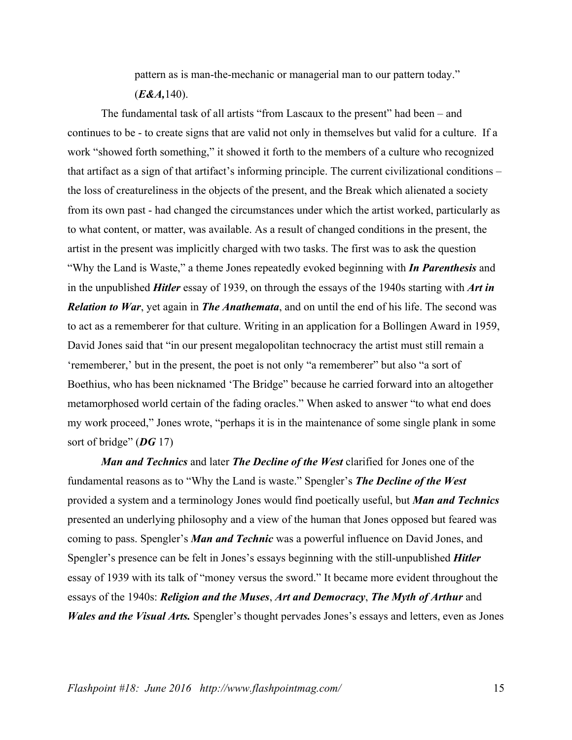pattern as is man-the-mechanic or managerial man to our pattern today." (*E&A,*140).

The fundamental task of all artists "from Lascaux to the present" had been – and continues to be - to create signs that are valid not only in themselves but valid for a culture. If a work "showed forth something," it showed it forth to the members of a culture who recognized that artifact as a sign of that artifact's informing principle. The current civilizational conditions – the loss of creatureliness in the objects of the present, and the Break which alienated a society from its own past - had changed the circumstances under which the artist worked, particularly as to what content, or matter, was available. As a result of changed conditions in the present, the artist in the present was implicitly charged with two tasks. The first was to ask the question "Why the Land is Waste," a theme Jones repeatedly evoked beginning with *In Parenthesis* and in the unpublished *Hitler* essay of 1939, on through the essays of the 1940s starting with *Art in Relation to War*, yet again in *The Anathemata*, and on until the end of his life. The second was to act as a rememberer for that culture. Writing in an application for a Bollingen Award in 1959, David Jones said that "in our present megalopolitan technocracy the artist must still remain a 'rememberer,' but in the present, the poet is not only "a rememberer" but also "a sort of Boethius, who has been nicknamed 'The Bridge" because he carried forward into an altogether metamorphosed world certain of the fading oracles." When asked to answer "to what end does my work proceed," Jones wrote, "perhaps it is in the maintenance of some single plank in some sort of bridge" (*DG* 17)

*Man and Technics* and later *The Decline of the West* clarified for Jones one of the fundamental reasons as to "Why the Land is waste." Spengler's *The Decline of the West* provided a system and a terminology Jones would find poetically useful, but *Man and Technics* presented an underlying philosophy and a view of the human that Jones opposed but feared was coming to pass. Spengler's *Man and Technic* was a powerful influence on David Jones, and Spengler's presence can be felt in Jones's essays beginning with the still-unpublished *Hitler* essay of 1939 with its talk of "money versus the sword." It became more evident throughout the essays of the 1940s: *Religion and the Muses*, *Art and Democracy*, *The Myth of Arthur* and *Wales and the Visual Arts.* Spengler's thought pervades Jones's essays and letters, even as Jones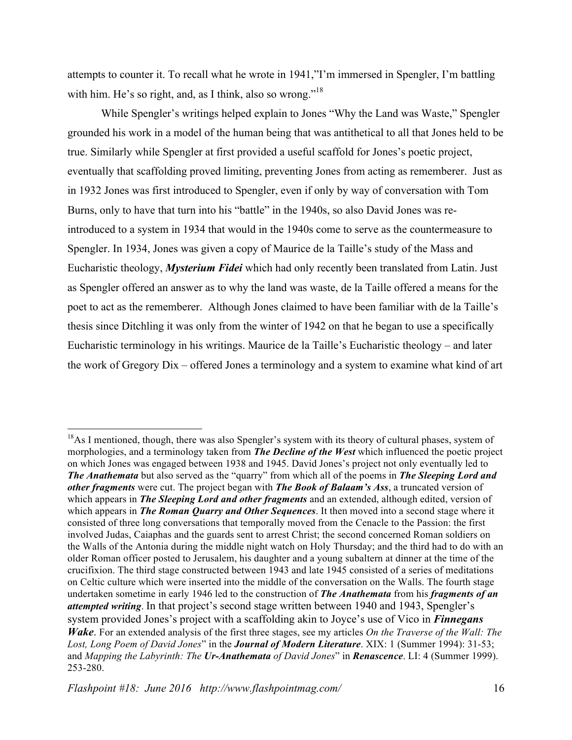attempts to counter it. To recall what he wrote in 1941,"I'm immersed in Spengler, I'm battling with him. He's so right, and, as I think, also so wrong."<sup>18</sup>

While Spengler's writings helped explain to Jones "Why the Land was Waste," Spengler grounded his work in a model of the human being that was antithetical to all that Jones held to be true. Similarly while Spengler at first provided a useful scaffold for Jones's poetic project, eventually that scaffolding proved limiting, preventing Jones from acting as rememberer. Just as in 1932 Jones was first introduced to Spengler, even if only by way of conversation with Tom Burns, only to have that turn into his "battle" in the 1940s, so also David Jones was reintroduced to a system in 1934 that would in the 1940s come to serve as the countermeasure to Spengler. In 1934, Jones was given a copy of Maurice de la Taille's study of the Mass and Eucharistic theology, *Mysterium Fidei* which had only recently been translated from Latin. Just as Spengler offered an answer as to why the land was waste, de la Taille offered a means for the poet to act as the rememberer. Although Jones claimed to have been familiar with de la Taille's thesis since Ditchling it was only from the winter of 1942 on that he began to use a specifically Eucharistic terminology in his writings. Maurice de la Taille's Eucharistic theology – and later the work of Gregory Dix – offered Jones a terminology and a system to examine what kind of art

<sup>&</sup>lt;sup>18</sup>As I mentioned, though, there was also Spengler's system with its theory of cultural phases, system of morphologies, and a terminology taken from *The Decline of the West* which influenced the poetic project on which Jones was engaged between 1938 and 1945. David Jones's project not only eventually led to *The Anathemata* but also served as the "quarry" from which all of the poems in *The Sleeping Lord and other fragments* were cut. The project began with *The Book of Balaam's Ass*, a truncated version of which appears in *The Sleeping Lord and other fragments* and an extended, although edited, version of which appears in *The Roman Quarry and Other Sequences*. It then moved into a second stage where it consisted of three long conversations that temporally moved from the Cenacle to the Passion: the first involved Judas, Caiaphas and the guards sent to arrest Christ; the second concerned Roman soldiers on the Walls of the Antonia during the middle night watch on Holy Thursday; and the third had to do with an older Roman officer posted to Jerusalem, his daughter and a young subaltern at dinner at the time of the crucifixion. The third stage constructed between 1943 and late 1945 consisted of a series of meditations on Celtic culture which were inserted into the middle of the conversation on the Walls. The fourth stage undertaken sometime in early 1946 led to the construction of *The Anathemata* from his *fragments of an attempted writing*. In that project's second stage written between 1940 and 1943, Spengler's system provided Jones's project with a scaffolding akin to Joyce's use of Vico in *Finnegans Wake*. For an extended analysis of the first three stages, see my articles *On the Traverse of the Wall: The Lost, Long Poem of David Jones*" in the *Journal of Modern Literature*. XIX: 1 (Summer 1994): 31-53; and *Mapping the Labyrinth: The Ur-Anathemata of David Jones*" in *Renascence*. LI: 4 (Summer 1999). 253-280.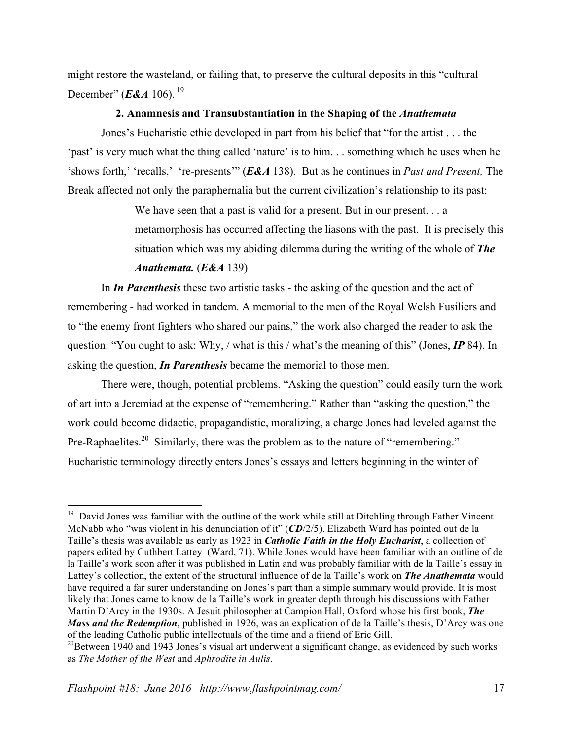might restore the wasteland, or failing that, to preserve the cultural deposits in this "cultural December" (*E&A* 106). <sup>19</sup>

## **2. Anamnesis and Transubstantiation in the Shaping of the** *Anathemata*

Jones's Eucharistic ethic developed in part from his belief that "for the artist . . . the 'past' is very much what the thing called 'nature' is to him. . . something which he uses when he 'shows forth,' 'recalls,' 're-presents'" (*E&A* 138). But as he continues in *Past and Present,* The Break affected not only the paraphernalia but the current civilization's relationship to its past:

> We have seen that a past is valid for a present. But in our present. . . a metamorphosis has occurred affecting the liasons with the past. It is precisely this situation which was my abiding dilemma during the writing of the whole of *The Anathemata.* (*E&A* 139)

In *In Parenthesis* these two artistic tasks - the asking of the question and the act of remembering - had worked in tandem. A memorial to the men of the Royal Welsh Fusiliers and to "the enemy front fighters who shared our pains," the work also charged the reader to ask the question: "You ought to ask: Why, / what is this / what's the meaning of this" (Jones, *IP* 84). In asking the question, *In Parenthesis* became the memorial to those men.

There were, though, potential problems. "Asking the question" could easily turn the work of art into a Jeremiad at the expense of "remembering." Rather than "asking the question," the work could become didactic, propagandistic, moralizing, a charge Jones had leveled against the Pre-Raphaelites.<sup>20</sup> Similarly, there was the problem as to the nature of "remembering." Eucharistic terminology directly enters Jones's essays and letters beginning in the winter of

 $19$  David Jones was familiar with the outline of the work while still at Ditchling through Father Vincent McNabb who "was violent in his denunciation of it" (*CD*/2/5). Elizabeth Ward has pointed out de la Taille's thesis was available as early as 1923 in *Catholic Faith in the Holy Eucharist*, a collection of papers edited by Cuthbert Lattey (Ward, 71). While Jones would have been familiar with an outline of de la Taille's work soon after it was published in Latin and was probably familiar with de la Taille's essay in Lattey's collection, the extent of the structural influence of de la Taille's work on *The Anathemata* would have required a far surer understanding on Jones's part than a simple summary would provide. It is most likely that Jones came to know de la Taille's work in greater depth through his discussions with Father Martin D'Arcy in the 1930s. A Jesuit philosopher at Campion Hall, Oxford whose his first book, *The Mass and the Redemption*, published in 1926, was an explication of de la Taille's thesis, D'Arcy was one of the leading Catholic public intellectuals of the time and a friend of Eric Gill.

 $20B$ etween 1940 and 1943 Jones's visual art underwent a significant change, as evidenced by such works as *The Mother of the West* and *Aphrodite in Aulis*.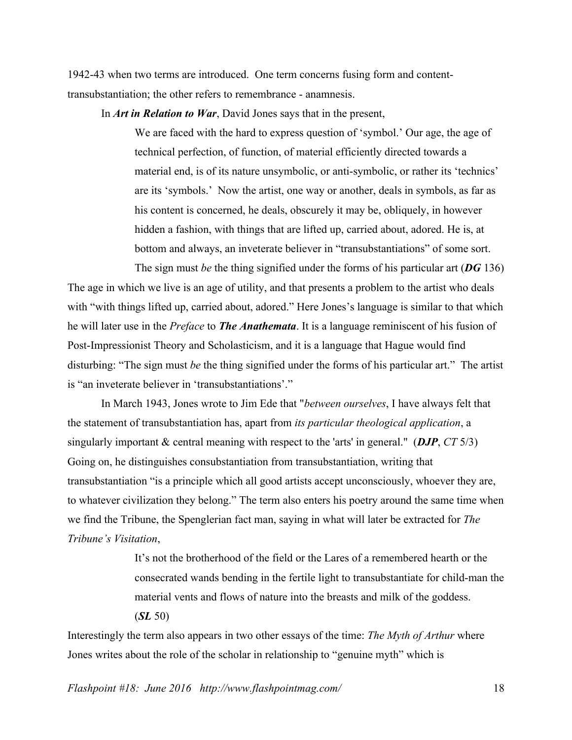1942-43 when two terms are introduced. One term concerns fusing form and contenttransubstantiation; the other refers to remembrance - anamnesis.

In *Art in Relation to War*, David Jones says that in the present,

We are faced with the hard to express question of 'symbol.' Our age, the age of technical perfection, of function, of material efficiently directed towards a material end, is of its nature unsymbolic, or anti-symbolic, or rather its 'technics' are its 'symbols.' Now the artist, one way or another, deals in symbols, as far as his content is concerned, he deals, obscurely it may be, obliquely, in however hidden a fashion, with things that are lifted up, carried about, adored. He is, at bottom and always, an inveterate believer in "transubstantiations" of some sort.

The sign must *be* the thing signified under the forms of his particular art (*DG* 136) The age in which we live is an age of utility, and that presents a problem to the artist who deals with "with things lifted up, carried about, adored." Here Jones's language is similar to that which he will later use in the *Preface* to *The Anathemata*. It is a language reminiscent of his fusion of Post-Impressionist Theory and Scholasticism, and it is a language that Hague would find disturbing: "The sign must *be* the thing signified under the forms of his particular art." The artist is "an inveterate believer in 'transubstantiations'."

In March 1943, Jones wrote to Jim Ede that "*between ourselves*, I have always felt that the statement of transubstantiation has, apart from *its particular theological application*, a singularly important & central meaning with respect to the 'arts' in general." (*DJP*, *CT* 5/3) Going on, he distinguishes consubstantiation from transubstantiation, writing that transubstantiation "is a principle which all good artists accept unconsciously, whoever they are, to whatever civilization they belong." The term also enters his poetry around the same time when we find the Tribune, the Spenglerian fact man, saying in what will later be extracted for *The Tribune's Visitation*,

> It's not the brotherhood of the field or the Lares of a remembered hearth or the consecrated wands bending in the fertile light to transubstantiate for child-man the material vents and flows of nature into the breasts and milk of the goddess. (*SL* 50)

Interestingly the term also appears in two other essays of the time: *The Myth of Arthur* where Jones writes about the role of the scholar in relationship to "genuine myth" which is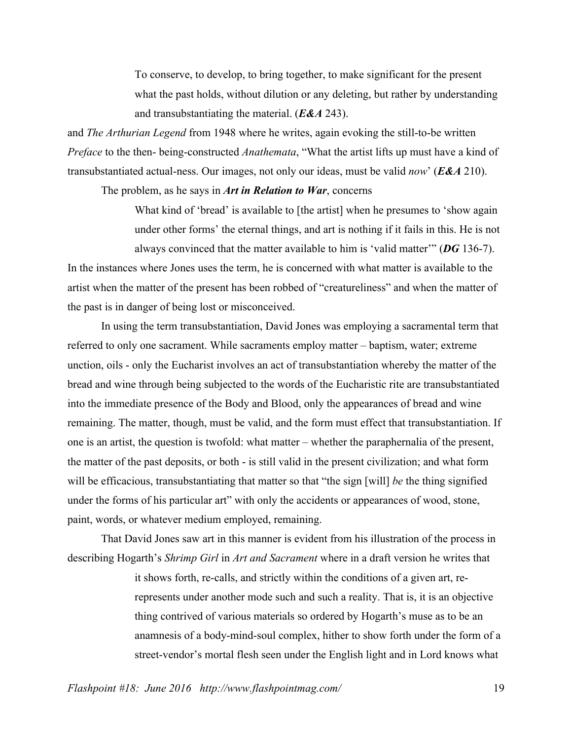To conserve, to develop, to bring together, to make significant for the present what the past holds, without dilution or any deleting, but rather by understanding and transubstantiating the material. (*E&A* 243).

and *The Arthurian Legend* from 1948 where he writes, again evoking the still-to-be written *Preface* to the then- being-constructed *Anathemata*, "What the artist lifts up must have a kind of transubstantiated actual-ness. Our images, not only our ideas, must be valid *now*' (*E&A* 210).

The problem, as he says in *Art in Relation to War*, concerns

What kind of 'bread' is available to [the artist] when he presumes to 'show again under other forms' the eternal things, and art is nothing if it fails in this. He is not always convinced that the matter available to him is 'valid matter'" (*DG* 136-7).

In the instances where Jones uses the term, he is concerned with what matter is available to the artist when the matter of the present has been robbed of "creatureliness" and when the matter of the past is in danger of being lost or misconceived.

In using the term transubstantiation, David Jones was employing a sacramental term that referred to only one sacrament. While sacraments employ matter – baptism, water; extreme unction, oils - only the Eucharist involves an act of transubstantiation whereby the matter of the bread and wine through being subjected to the words of the Eucharistic rite are transubstantiated into the immediate presence of the Body and Blood, only the appearances of bread and wine remaining. The matter, though, must be valid, and the form must effect that transubstantiation. If one is an artist, the question is twofold: what matter – whether the paraphernalia of the present, the matter of the past deposits, or both - is still valid in the present civilization; and what form will be efficacious, transubstantiating that matter so that "the sign [will] *be* the thing signified under the forms of his particular art" with only the accidents or appearances of wood, stone, paint, words, or whatever medium employed, remaining.

That David Jones saw art in this manner is evident from his illustration of the process in describing Hogarth's *Shrimp Girl* in *Art and Sacrament* where in a draft version he writes that

> it shows forth, re-calls, and strictly within the conditions of a given art, rerepresents under another mode such and such a reality. That is, it is an objective thing contrived of various materials so ordered by Hogarth's muse as to be an anamnesis of a body-mind-soul complex, hither to show forth under the form of a street-vendor's mortal flesh seen under the English light and in Lord knows what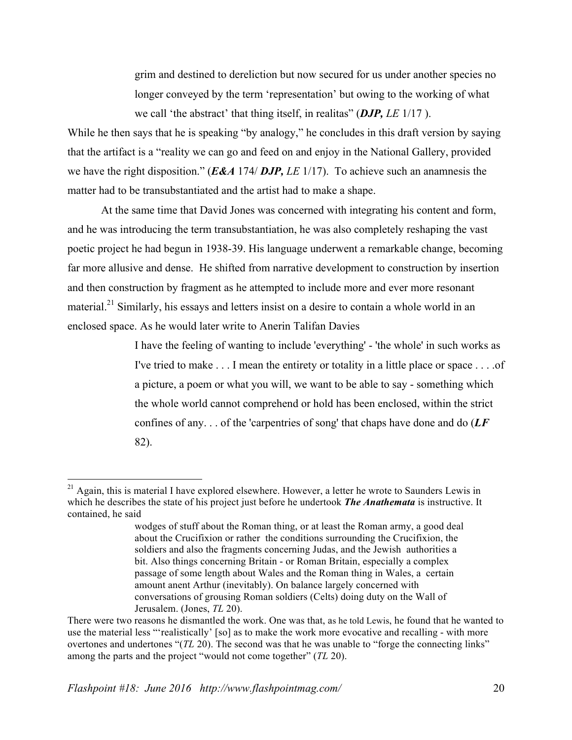grim and destined to dereliction but now secured for us under another species no longer conveyed by the term 'representation' but owing to the working of what we call 'the abstract' that thing itself, in realitas" (*DJP, LE* 1/17 ).

While he then says that he is speaking "by analogy," he concludes in this draft version by saying that the artifact is a "reality we can go and feed on and enjoy in the National Gallery, provided we have the right disposition." (*E&A* 174/ *DJP, LE* 1/17). To achieve such an anamnesis the matter had to be transubstantiated and the artist had to make a shape.

At the same time that David Jones was concerned with integrating his content and form, and he was introducing the term transubstantiation, he was also completely reshaping the vast poetic project he had begun in 1938-39. His language underwent a remarkable change, becoming far more allusive and dense. He shifted from narrative development to construction by insertion and then construction by fragment as he attempted to include more and ever more resonant material.<sup>21</sup> Similarly, his essays and letters insist on a desire to contain a whole world in an enclosed space. As he would later write to Anerin Talifan Davies

> I have the feeling of wanting to include 'everything' - 'the whole' in such works as I've tried to make . . . I mean the entirety or totality in a little place or space . . . .of a picture, a poem or what you will, we want to be able to say - something which the whole world cannot comprehend or hold has been enclosed, within the strict confines of any. . . of the 'carpentries of song' that chaps have done and do (*LF*  82).

<sup>&</sup>lt;sup>21</sup> Again, this is material I have explored elsewhere. However, a letter he wrote to Saunders Lewis in which he describes the state of his project just before he undertook *The Anathemata* is instructive. It contained, he said

wodges of stuff about the Roman thing, or at least the Roman army, a good deal about the Crucifixion or rather the conditions surrounding the Crucifixion, the soldiers and also the fragments concerning Judas, and the Jewish authorities a bit. Also things concerning Britain - or Roman Britain, especially a complex passage of some length about Wales and the Roman thing in Wales, a certain amount anent Arthur (inevitably). On balance largely concerned with conversations of grousing Roman soldiers (Celts) doing duty on the Wall of Jerusalem. (Jones, *TL* 20).

There were two reasons he dismantled the work. One was that, as he told Lewis, he found that he wanted to use the material less "'realistically' [so] as to make the work more evocative and recalling - with more overtones and undertones "(*TL* 20). The second was that he was unable to "forge the connecting links" among the parts and the project "would not come together" (*TL* 20).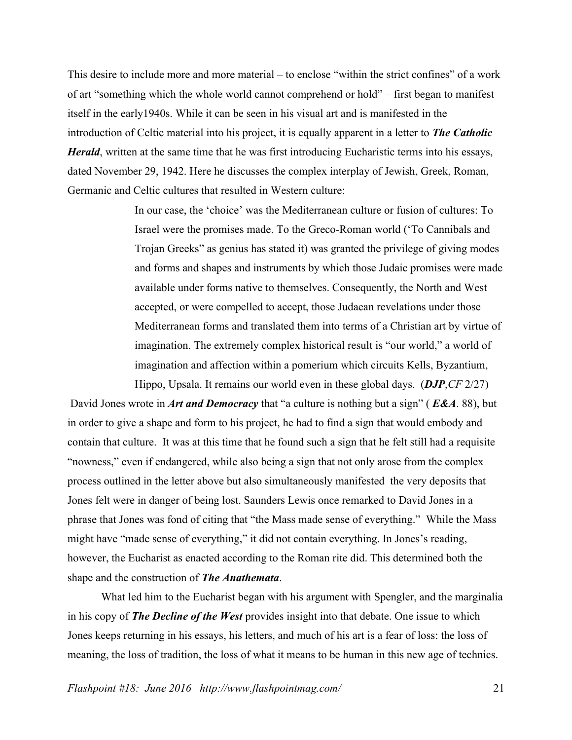This desire to include more and more material – to enclose "within the strict confines" of a work of art "something which the whole world cannot comprehend or hold" – first began to manifest itself in the early1940s. While it can be seen in his visual art and is manifested in the introduction of Celtic material into his project, it is equally apparent in a letter to *The Catholic Herald*, written at the same time that he was first introducing Eucharistic terms into his essays, dated November 29, 1942. Here he discusses the complex interplay of Jewish, Greek, Roman, Germanic and Celtic cultures that resulted in Western culture:

> In our case, the 'choice' was the Mediterranean culture or fusion of cultures: To Israel were the promises made. To the Greco-Roman world ('To Cannibals and Trojan Greeks" as genius has stated it) was granted the privilege of giving modes and forms and shapes and instruments by which those Judaic promises were made available under forms native to themselves. Consequently, the North and West accepted, or were compelled to accept, those Judaean revelations under those Mediterranean forms and translated them into terms of a Christian art by virtue of imagination. The extremely complex historical result is "our world," a world of imagination and affection within a pomerium which circuits Kells, Byzantium,

Hippo, Upsala. It remains our world even in these global days. (*DJP*,*CF* 2/27) David Jones wrote in *Art and Democracy* that "a culture is nothing but a sign" ( *E&A*. 88), but in order to give a shape and form to his project, he had to find a sign that would embody and contain that culture. It was at this time that he found such a sign that he felt still had a requisite "nowness," even if endangered, while also being a sign that not only arose from the complex process outlined in the letter above but also simultaneously manifested the very deposits that Jones felt were in danger of being lost. Saunders Lewis once remarked to David Jones in a phrase that Jones was fond of citing that "the Mass made sense of everything." While the Mass might have "made sense of everything," it did not contain everything. In Jones's reading, however, the Eucharist as enacted according to the Roman rite did. This determined both the shape and the construction of *The Anathemata*.

What led him to the Eucharist began with his argument with Spengler, and the marginalia in his copy of *The Decline of the West* provides insight into that debate. One issue to which Jones keeps returning in his essays, his letters, and much of his art is a fear of loss: the loss of meaning, the loss of tradition, the loss of what it means to be human in this new age of technics.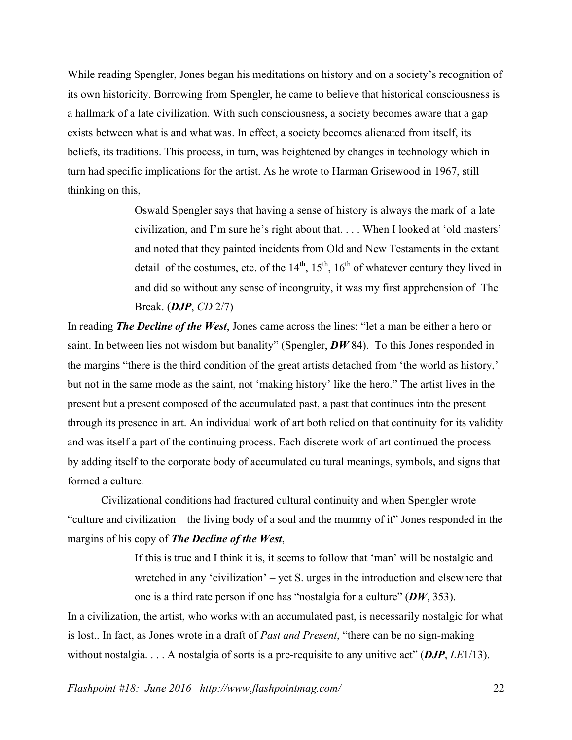While reading Spengler, Jones began his meditations on history and on a society's recognition of its own historicity. Borrowing from Spengler, he came to believe that historical consciousness is a hallmark of a late civilization. With such consciousness, a society becomes aware that a gap exists between what is and what was. In effect, a society becomes alienated from itself, its beliefs, its traditions. This process, in turn, was heightened by changes in technology which in turn had specific implications for the artist. As he wrote to Harman Grisewood in 1967, still thinking on this,

> Oswald Spengler says that having a sense of history is always the mark of a late civilization, and I'm sure he's right about that. . . . When I looked at 'old masters' and noted that they painted incidents from Old and New Testaments in the extant detail of the costumes, etc. of the  $14<sup>th</sup>$ ,  $15<sup>th</sup>$ ,  $16<sup>th</sup>$  of whatever century they lived in and did so without any sense of incongruity, it was my first apprehension of The Break. (*DJP*, *CD* 2/7)

In reading *The Decline of the West*, Jones came across the lines: "let a man be either a hero or saint. In between lies not wisdom but banality" (Spengler, **DW** 84). To this Jones responded in the margins "there is the third condition of the great artists detached from 'the world as history,' but not in the same mode as the saint, not 'making history' like the hero." The artist lives in the present but a present composed of the accumulated past, a past that continues into the present through its presence in art. An individual work of art both relied on that continuity for its validity and was itself a part of the continuing process. Each discrete work of art continued the process by adding itself to the corporate body of accumulated cultural meanings, symbols, and signs that formed a culture.

Civilizational conditions had fractured cultural continuity and when Spengler wrote "culture and civilization – the living body of a soul and the mummy of it" Jones responded in the margins of his copy of *The Decline of the West*,

> If this is true and I think it is, it seems to follow that 'man' will be nostalgic and wretched in any 'civilization' – yet S. urges in the introduction and elsewhere that one is a third rate person if one has "nostalgia for a culture" (*DW*, 353).

In a civilization, the artist, who works with an accumulated past, is necessarily nostalgic for what is lost.. In fact, as Jones wrote in a draft of *Past and Present*, "there can be no sign-making without nostalgia. . . . A nostalgia of sorts is a pre-requisite to any unitive act" (*DJP*, *LE*1/13).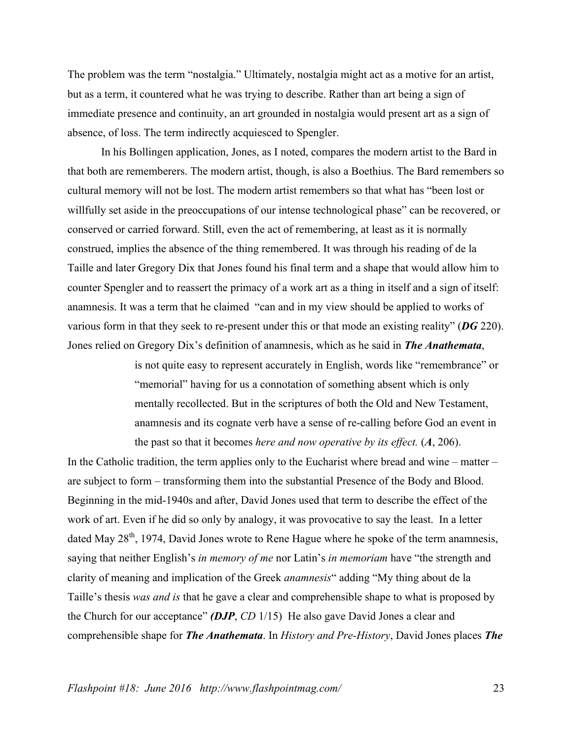The problem was the term "nostalgia." Ultimately, nostalgia might act as a motive for an artist, but as a term, it countered what he was trying to describe. Rather than art being a sign of immediate presence and continuity, an art grounded in nostalgia would present art as a sign of absence, of loss. The term indirectly acquiesced to Spengler.

In his Bollingen application, Jones, as I noted, compares the modern artist to the Bard in that both are rememberers. The modern artist, though, is also a Boethius. The Bard remembers so cultural memory will not be lost. The modern artist remembers so that what has "been lost or willfully set aside in the preoccupations of our intense technological phase" can be recovered, or conserved or carried forward. Still, even the act of remembering, at least as it is normally construed, implies the absence of the thing remembered. It was through his reading of de la Taille and later Gregory Dix that Jones found his final term and a shape that would allow him to counter Spengler and to reassert the primacy of a work art as a thing in itself and a sign of itself: anamnesis. It was a term that he claimed "can and in my view should be applied to works of various form in that they seek to re-present under this or that mode an existing reality" (*DG* 220). Jones relied on Gregory Dix's definition of anamnesis, which as he said in *The Anathemata*,

> is not quite easy to represent accurately in English, words like "remembrance" or "memorial" having for us a connotation of something absent which is only mentally recollected. But in the scriptures of both the Old and New Testament, anamnesis and its cognate verb have a sense of re-calling before God an event in the past so that it becomes *here and now operative by its effect.* (*A*, 206).

In the Catholic tradition, the term applies only to the Eucharist where bread and wine – matter – are subject to form – transforming them into the substantial Presence of the Body and Blood. Beginning in the mid-1940s and after, David Jones used that term to describe the effect of the work of art. Even if he did so only by analogy, it was provocative to say the least. In a letter dated May  $28<sup>th</sup>$ , 1974, David Jones wrote to Rene Hague where he spoke of the term anamnesis, saying that neither English's *in memory of me* nor Latin's *in memoriam* have "the strength and clarity of meaning and implication of the Greek *anamnesis*" adding "My thing about de la Taille's thesis *was and is* that he gave a clear and comprehensible shape to what is proposed by the Church for our acceptance" *(DJP*, *CD* 1/15) He also gave David Jones a clear and comprehensible shape for *The Anathemata*. In *History and Pre-History*, David Jones places *The*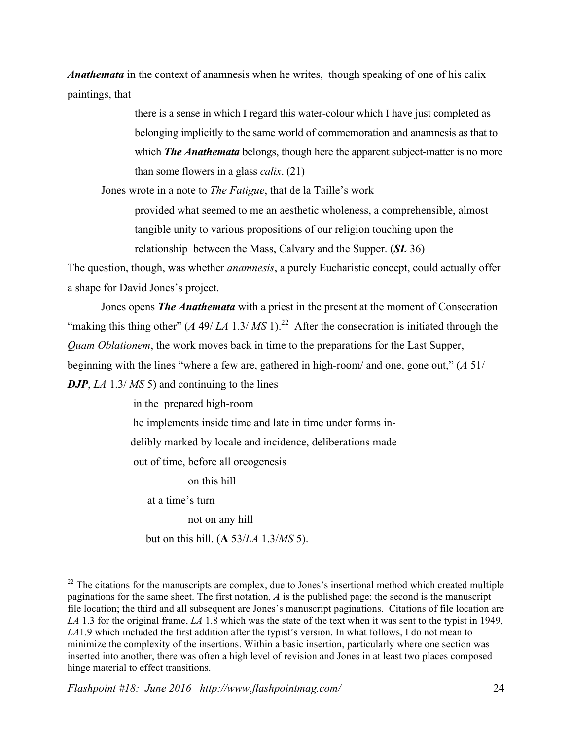*Anathemata* in the context of anamnesis when he writes, though speaking of one of his calix paintings, that

> there is a sense in which I regard this water-colour which I have just completed as belonging implicitly to the same world of commemoration and anamnesis as that to which **The Anathemata** belongs, though here the apparent subject-matter is no more than some flowers in a glass *calix*. (21)

Jones wrote in a note to *The Fatigue*, that de la Taille's work

provided what seemed to me an aesthetic wholeness, a comprehensible, almost tangible unity to various propositions of our religion touching upon the relationship between the Mass, Calvary and the Supper. (*SL* 36)

The question, though, was whether *anamnesis*, a purely Eucharistic concept, could actually offer a shape for David Jones's project.

Jones opens *The Anathemata* with a priest in the present at the moment of Consecration "making this thing other"  $(A \ 49 / LA \ 1.3 / MS \ 1)^{22}$  After the consecration is initiated through the *Quam Oblationem*, the work moves back in time to the preparations for the Last Supper,

beginning with the lines "where a few are, gathered in high-room/ and one, gone out," (*A* 51/

*DJP*, *LA* 1.3/ *MS* 5) and continuing to the lines

in the prepared high-room he implements inside time and late in time under forms indelibly marked by locale and incidence, deliberations made out of time, before all oreogenesis

on this hill

at a time's turn

not on any hill

but on this hill. (**A** 53/*LA* 1.3/*MS* 5).

<sup>&</sup>lt;sup>22</sup> The citations for the manuscripts are complex, due to Jones's insertional method which created multiple paginations for the same sheet. The first notation, *A* is the published page; the second is the manuscript file location; the third and all subsequent are Jones's manuscript paginations. Citations of file location are *LA* 1.3 for the original frame, *LA* 1.8 which was the state of the text when it was sent to the typist in 1949, *LA*1.9 which included the first addition after the typist's version. In what follows, I do not mean to minimize the complexity of the insertions. Within a basic insertion, particularly where one section was inserted into another, there was often a high level of revision and Jones in at least two places composed hinge material to effect transitions.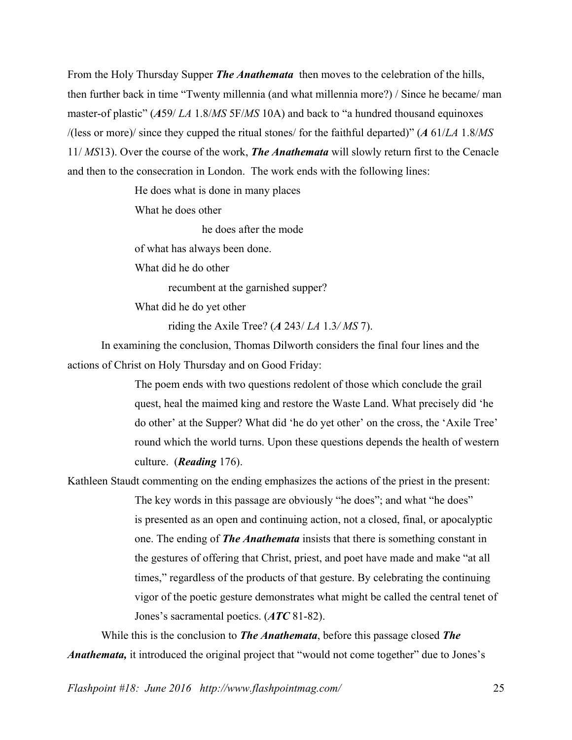From the Holy Thursday Supper *The Anathemata* then moves to the celebration of the hills, then further back in time "Twenty millennia (and what millennia more?) / Since he became/ man master-of plastic" (*A*59/ *LA* 1.8/*MS* 5F/*MS* 10A) and back to "a hundred thousand equinoxes /(less or more)/ since they cupped the ritual stones/ for the faithful departed)" (*A* 61/*LA* 1.8/*MS* 11/ *MS*13). Over the course of the work, *The Anathemata* will slowly return first to the Cenacle and then to the consecration in London. The work ends with the following lines:

He does what is done in many places

What he does other

he does after the mode

of what has always been done.

What did he do other

recumbent at the garnished supper?

What did he do yet other

riding the Axile Tree? (*A* 243/ *LA* 1.3*/ MS* 7).

In examining the conclusion, Thomas Dilworth considers the final four lines and the actions of Christ on Holy Thursday and on Good Friday:

> The poem ends with two questions redolent of those which conclude the grail quest, heal the maimed king and restore the Waste Land. What precisely did 'he do other' at the Supper? What did 'he do yet other' on the cross, the 'Axile Tree' round which the world turns. Upon these questions depends the health of western culture. (*Reading* 176).

## Kathleen Staudt commenting on the ending emphasizes the actions of the priest in the present:

The key words in this passage are obviously "he does"; and what "he does" is presented as an open and continuing action, not a closed, final, or apocalyptic one. The ending of *The Anathemata* insists that there is something constant in the gestures of offering that Christ, priest, and poet have made and make "at all times," regardless of the products of that gesture. By celebrating the continuing vigor of the poetic gesture demonstrates what might be called the central tenet of Jones's sacramental poetics. (*ATC* 81-82).

While this is the conclusion to *The Anathemata*, before this passage closed *The Anathemata,* it introduced the original project that "would not come together" due to Jones's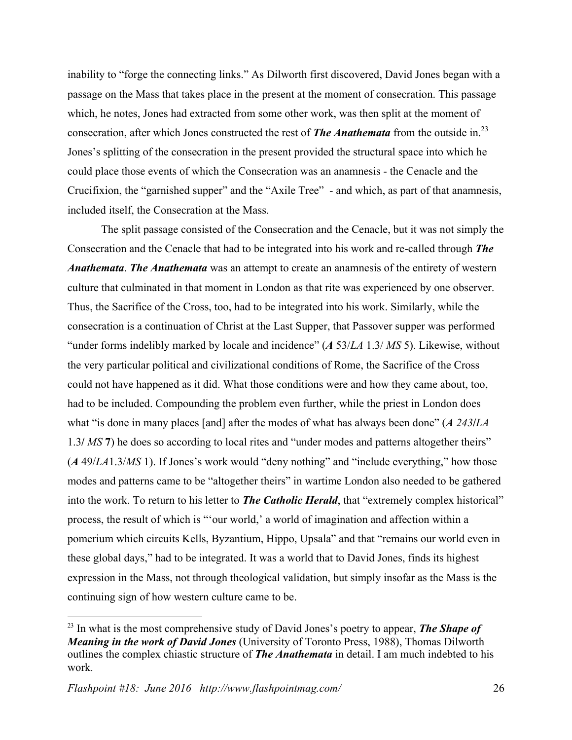inability to "forge the connecting links." As Dilworth first discovered, David Jones began with a passage on the Mass that takes place in the present at the moment of consecration. This passage which, he notes, Jones had extracted from some other work, was then split at the moment of consecration, after which Jones constructed the rest of *The Anathemata* from the outside in.23 Jones's splitting of the consecration in the present provided the structural space into which he could place those events of which the Consecration was an anamnesis - the Cenacle and the Crucifixion, the "garnished supper" and the "Axile Tree" - and which, as part of that anamnesis, included itself, the Consecration at the Mass.

The split passage consisted of the Consecration and the Cenacle, but it was not simply the Consecration and the Cenacle that had to be integrated into his work and re-called through *The Anathemata*. *The Anathemata* was an attempt to create an anamnesis of the entirety of western culture that culminated in that moment in London as that rite was experienced by one observer. Thus, the Sacrifice of the Cross, too, had to be integrated into his work. Similarly, while the consecration is a continuation of Christ at the Last Supper, that Passover supper was performed "under forms indelibly marked by locale and incidence" (*A* 53/*LA* 1.3/ *MS* 5). Likewise, without the very particular political and civilizational conditions of Rome, the Sacrifice of the Cross could not have happened as it did. What those conditions were and how they came about, too, had to be included. Compounding the problem even further, while the priest in London does what "is done in many places [and] after the modes of what has always been done" (*A 243***/***LA* 1.3**/** *MS* **7**) he does so according to local rites and "under modes and patterns altogether theirs" (*A* 49/*LA*1.3/*MS* 1). If Jones's work would "deny nothing" and "include everything," how those modes and patterns came to be "altogether theirs" in wartime London also needed to be gathered into the work. To return to his letter to *The Catholic Herald*, that "extremely complex historical" process, the result of which is "'our world,' a world of imagination and affection within a pomerium which circuits Kells, Byzantium, Hippo, Upsala" and that "remains our world even in these global days," had to be integrated. It was a world that to David Jones, finds its highest expression in the Mass, not through theological validation, but simply insofar as the Mass is the continuing sign of how western culture came to be.

 <sup>23</sup> In what is the most comprehensive study of David Jones's poetry to appear, *The Shape of Meaning in the work of David Jones* (University of Toronto Press, 1988), Thomas Dilworth outlines the complex chiastic structure of *The Anathemata* in detail. I am much indebted to his work.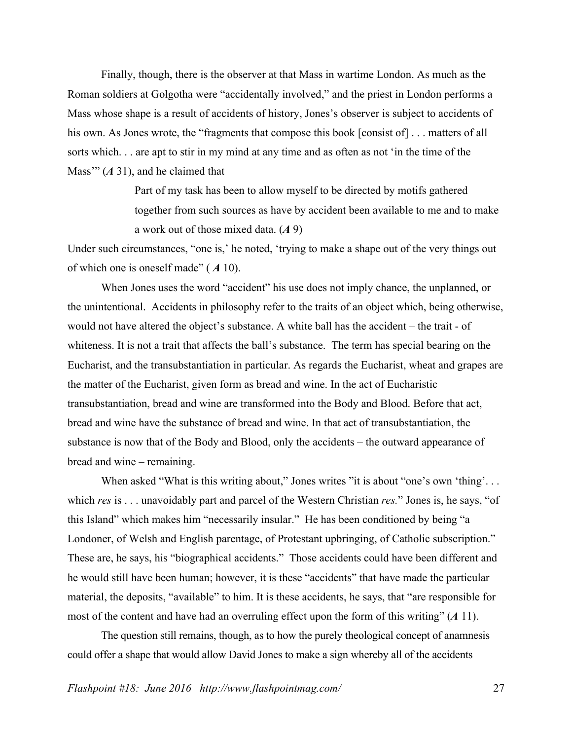Finally, though, there is the observer at that Mass in wartime London. As much as the Roman soldiers at Golgotha were "accidentally involved," and the priest in London performs a Mass whose shape is a result of accidents of history, Jones's observer is subject to accidents of his own. As Jones wrote, the "fragments that compose this book [consist of] . . . matters of all sorts which. . . are apt to stir in my mind at any time and as often as not 'in the time of the Mass'" (*A* 31), and he claimed that

> Part of my task has been to allow myself to be directed by motifs gathered together from such sources as have by accident been available to me and to make a work out of those mixed data. (*A* 9)

Under such circumstances, "one is,' he noted, 'trying to make a shape out of the very things out of which one is oneself made" ( *A* 10).

When Jones uses the word "accident" his use does not imply chance, the unplanned, or the unintentional. Accidents in philosophy refer to the traits of an object which, being otherwise, would not have altered the object's substance. A white ball has the accident – the trait - of whiteness. It is not a trait that affects the ball's substance. The term has special bearing on the Eucharist, and the transubstantiation in particular. As regards the Eucharist, wheat and grapes are the matter of the Eucharist, given form as bread and wine. In the act of Eucharistic transubstantiation, bread and wine are transformed into the Body and Blood. Before that act, bread and wine have the substance of bread and wine. In that act of transubstantiation, the substance is now that of the Body and Blood, only the accidents – the outward appearance of bread and wine – remaining.

When asked "What is this writing about," Jones writes "it is about "one's own 'thing'... which *res* is . . . unavoidably part and parcel of the Western Christian *res.*" Jones is, he says, "of this Island" which makes him "necessarily insular." He has been conditioned by being "a Londoner, of Welsh and English parentage, of Protestant upbringing, of Catholic subscription." These are, he says, his "biographical accidents." Those accidents could have been different and he would still have been human; however, it is these "accidents" that have made the particular material, the deposits, "available" to him. It is these accidents, he says, that "are responsible for most of the content and have had an overruling effect upon the form of this writing" (*A* 11).

The question still remains, though, as to how the purely theological concept of anamnesis could offer a shape that would allow David Jones to make a sign whereby all of the accidents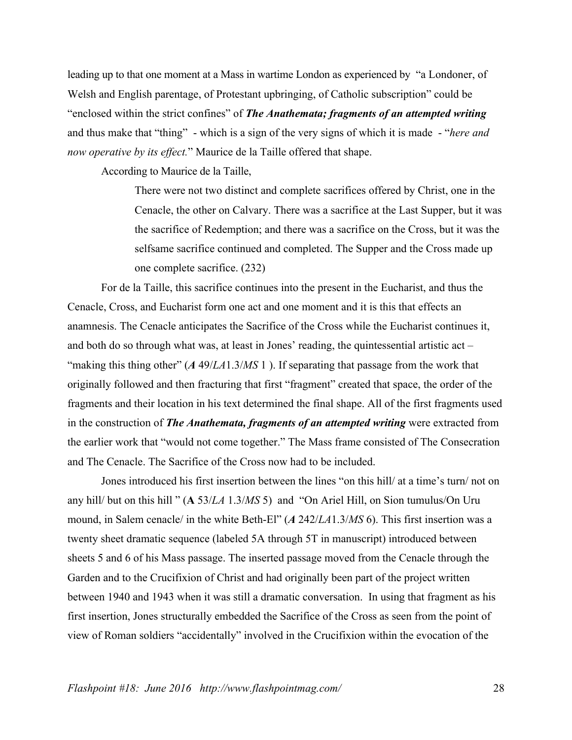leading up to that one moment at a Mass in wartime London as experienced by "a Londoner, of Welsh and English parentage, of Protestant upbringing, of Catholic subscription" could be "enclosed within the strict confines" of *The Anathemata; fragments of an attempted writing* and thus make that "thing" - which is a sign of the very signs of which it is made - "*here and now operative by its effect.*" Maurice de la Taille offered that shape.

According to Maurice de la Taille,

There were not two distinct and complete sacrifices offered by Christ, one in the Cenacle, the other on Calvary. There was a sacrifice at the Last Supper, but it was the sacrifice of Redemption; and there was a sacrifice on the Cross, but it was the selfsame sacrifice continued and completed. The Supper and the Cross made up one complete sacrifice. (232)

For de la Taille, this sacrifice continues into the present in the Eucharist, and thus the Cenacle, Cross, and Eucharist form one act and one moment and it is this that effects an anamnesis. The Cenacle anticipates the Sacrifice of the Cross while the Eucharist continues it, and both do so through what was, at least in Jones' reading, the quintessential artistic act – "making this thing other" (*A* 49/*LA*1.3/*MS* 1 ). If separating that passage from the work that originally followed and then fracturing that first "fragment" created that space, the order of the fragments and their location in his text determined the final shape. All of the first fragments used in the construction of *The Anathemata, fragments of an attempted writing* were extracted from the earlier work that "would not come together." The Mass frame consisted of The Consecration and The Cenacle. The Sacrifice of the Cross now had to be included.

Jones introduced his first insertion between the lines "on this hill/ at a time's turn/ not on any hill/ but on this hill " (**A** 53/*LA* 1.3/*MS* 5) and "On Ariel Hill, on Sion tumulus/On Uru mound, in Salem cenacle/ in the white Beth-El" (*A* 242/*LA*1.3/*MS* 6). This first insertion was a twenty sheet dramatic sequence (labeled 5A through 5T in manuscript) introduced between sheets 5 and 6 of his Mass passage. The inserted passage moved from the Cenacle through the Garden and to the Crucifixion of Christ and had originally been part of the project written between 1940 and 1943 when it was still a dramatic conversation. In using that fragment as his first insertion, Jones structurally embedded the Sacrifice of the Cross as seen from the point of view of Roman soldiers "accidentally" involved in the Crucifixion within the evocation of the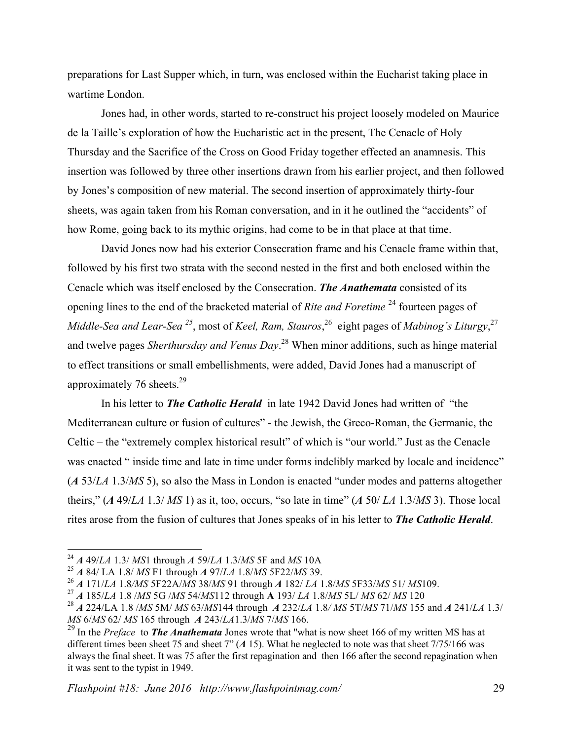preparations for Last Supper which, in turn, was enclosed within the Eucharist taking place in wartime London.

Jones had, in other words, started to re-construct his project loosely modeled on Maurice de la Taille's exploration of how the Eucharistic act in the present, The Cenacle of Holy Thursday and the Sacrifice of the Cross on Good Friday together effected an anamnesis. This insertion was followed by three other insertions drawn from his earlier project, and then followed by Jones's composition of new material. The second insertion of approximately thirty-four sheets, was again taken from his Roman conversation, and in it he outlined the "accidents" of how Rome, going back to its mythic origins, had come to be in that place at that time.

David Jones now had his exterior Consecration frame and his Cenacle frame within that, followed by his first two strata with the second nested in the first and both enclosed within the Cenacle which was itself enclosed by the Consecration. *The Anathemata* consisted of its opening lines to the end of the bracketed material of *Rite and Foretime* <sup>24</sup> fourteen pages of *Middle-Sea and Lear-Sea <sup>25</sup>*, most of *Keel, Ram, Stauros*, <sup>26</sup> eight pages of *Mabinog's Liturgy*, 27 and twelve pages *Sherthursday and Venus Day*. <sup>28</sup> When minor additions, such as hinge material to effect transitions or small embellishments, were added, David Jones had a manuscript of approximately 76 sheets. $29$ 

In his letter to *The Catholic Herald* in late 1942 David Jones had written of "the Mediterranean culture or fusion of cultures" - the Jewish, the Greco-Roman, the Germanic, the Celtic – the "extremely complex historical result" of which is "our world." Just as the Cenacle was enacted " inside time and late in time under forms indelibly marked by locale and incidence" (*A* 53/*LA* 1.3/*MS* 5), so also the Mass in London is enacted "under modes and patterns altogether theirs," (*A* 49/*LA* 1.3/ *MS* 1) as it, too, occurs, "so late in time" (*A* 50/ *LA* 1.3/*MS* 3). Those local rites arose from the fusion of cultures that Jones speaks of in his letter to *The Catholic Herald*.

 <sup>24</sup> *<sup>A</sup>* 49/*LA* 1.3/ *MS*1 through *<sup>A</sup>* 59/*LA* 1.3/*MS* 5F and *MS* 10A

<sup>25</sup> *A* 84/ LA 1.8/ *MS* F1 through *A* 97/*LA* 1.8/*MS* 5F22/*MS* 39.

 $^{27}$  A 185/LA 1.8 /MS 5G /MS 54/MS112 through A 193/LA 1.8/MS 5L/MS 62/MS 120

<sup>28</sup> *A* 224/LA 1.8 /*MS* 5M/ *MS* 63/*MS*144 through *A* 232/*LA* 1.8*/ MS* 5T/*MS* 71/*MS* 155 and *A* 241/*LA* 1.3/ *MS* 6/*MS* 62/ *MS* 165 through *A* 243/*LA*1.3/*MS* 7/*MS* 166.

<sup>29</sup> In the *Preface* to *The Anathemata* Jones wrote that "what is now sheet 166 of my written MS has at different times been sheet 75 and sheet 7" (*A* 15). What he neglected to note was that sheet 7/75/166 was always the final sheet. It was 75 after the first repagination and then 166 after the second repagination when it was sent to the typist in 1949.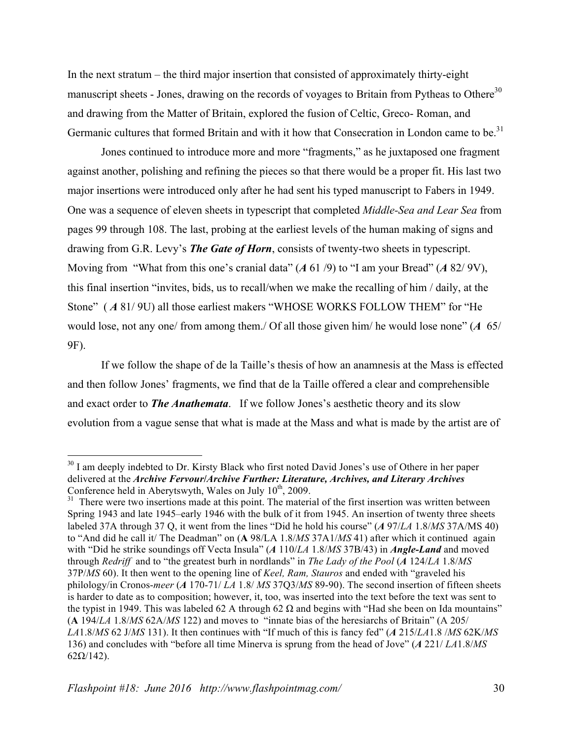In the next stratum – the third major insertion that consisted of approximately thirty-eight manuscript sheets - Jones, drawing on the records of voyages to Britain from Pytheas to Othere<sup>30</sup> and drawing from the Matter of Britain, explored the fusion of Celtic, Greco- Roman, and Germanic cultures that formed Britain and with it how that Consecration in London came to be.<sup>31</sup>

Jones continued to introduce more and more "fragments," as he juxtaposed one fragment against another, polishing and refining the pieces so that there would be a proper fit. His last two major insertions were introduced only after he had sent his typed manuscript to Fabers in 1949. One was a sequence of eleven sheets in typescript that completed *Middle-Sea and Lear Sea* from pages 99 through 108. The last, probing at the earliest levels of the human making of signs and drawing from G.R. Levy's *The Gate of Horn*, consists of twenty-two sheets in typescript. Moving from "What from this one's cranial data" (*A* 61 /9) to "I am your Bread" (*A* 82/ 9V), this final insertion "invites, bids, us to recall/when we make the recalling of him / daily, at the Stone" (A 81/9U) all those earliest makers "WHOSE WORKS FOLLOW THEM" for "He would lose, not any one/ from among them./ Of all those given him/ he would lose none" (*A* 65/ 9F).

If we follow the shape of de la Taille's thesis of how an anamnesis at the Mass is effected and then follow Jones' fragments, we find that de la Taille offered a clear and comprehensible and exact order to *The Anathemata*. If we follow Jones's aesthetic theory and its slow evolution from a vague sense that what is made at the Mass and what is made by the artist are of

<sup>&</sup>lt;sup>30</sup> I am deeply indebted to Dr. Kirsty Black who first noted David Jones's use of Othere in her paper delivered at the *Archive Fervour***/***Archive Further: Literature, Archives, and Literary Archives* 

 $^{31}$  There were two insertions made at this point. The material of the first insertion was written between Spring 1943 and late 1945–early 1946 with the bulk of it from 1945. An insertion of twenty three sheets labeled 37A through 37 Q, it went from the lines "Did he hold his course" (*A* 97/*LA* 1.8/*MS* 37A/MS 40) to "And did he call it/ The Deadman" on (**A** 98/LA 1.8/*MS* 37A1/*MS* 41) after which it continued again with "Did he strike soundings off Vecta Insula" (*A* 110/*LA* 1.8/*MS* 37B/43) in *Angle-Land* and moved through *Redriff* and to "the greatest burh in nordlands" in *The Lady of the Pool* (*A* 124/*LA* 1.8/*MS* 37P/*MS* 60). It then went to the opening line of *Keel, Ram, Stauros* and ended with "graveled his philology/in Cronos-*meer* (*A* 170-71/ *LA* 1.8/ *MS* 37Q3/*MS* 89-90). The second insertion of fifteen sheets is harder to date as to composition; however, it, too, was inserted into the text before the text was sent to the typist in 1949. This was labeled 62 A through 62  $\Omega$  and begins with "Had she been on Ida mountains" (**A** 194/*LA* 1.8/*MS* 62A/*MS* 122) and moves to "innate bias of the heresiarchs of Britain" (A 205/ *LA*1.8/*MS* 62 J/*MS* 131). It then continues with "If much of this is fancy fed" (*A* 215/*LA*1.8 /*MS* 62K/*MS* 136) and concludes with "before all time Minerva is sprung from the head of Jove" (*A* 221/ *LA*1.8/*MS*  $62\Omega/142$ ).